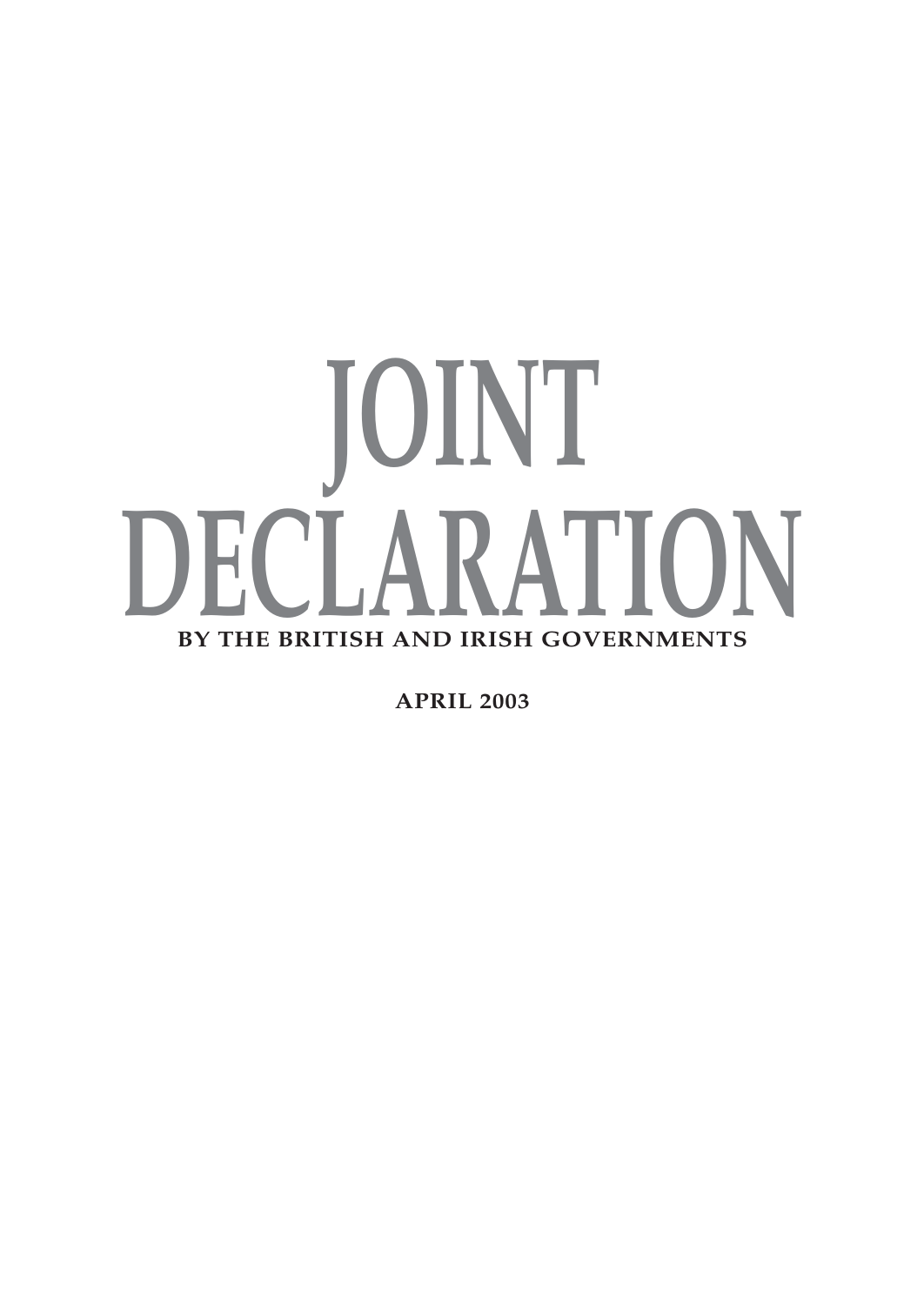# **JOINT DECLARATION BY THE BRITISH AND IRISH GOVERNMENTS**

**APRIL 2003**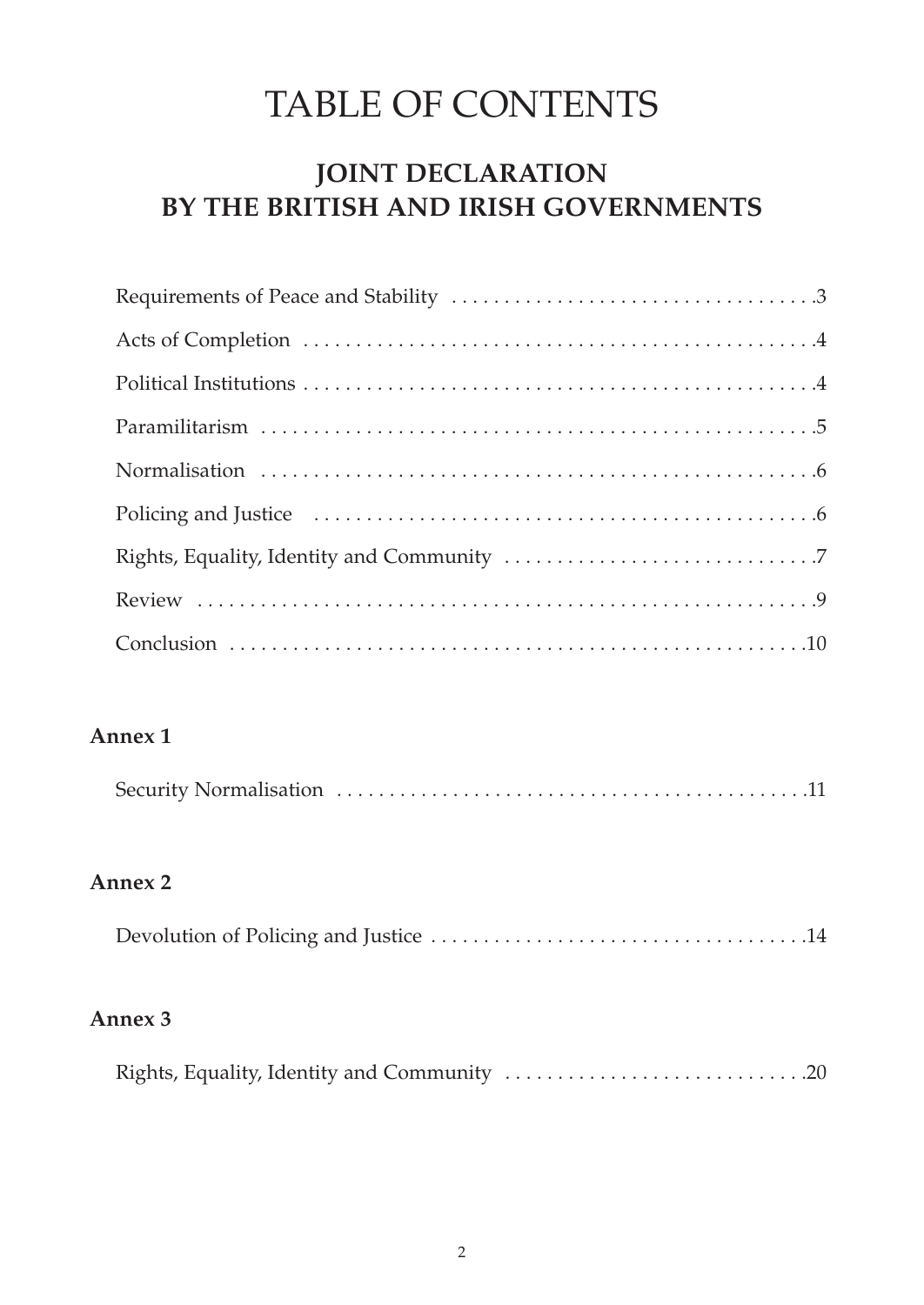# TABLE OF CONTENTS

# **JOINT DECLARATION BY THE BRITISH AND IRISH GOVERNMENTS**

# **Annex 1**

# **Annex 2**

|--|

## **Annex 3**

|--|--|--|--|--|--|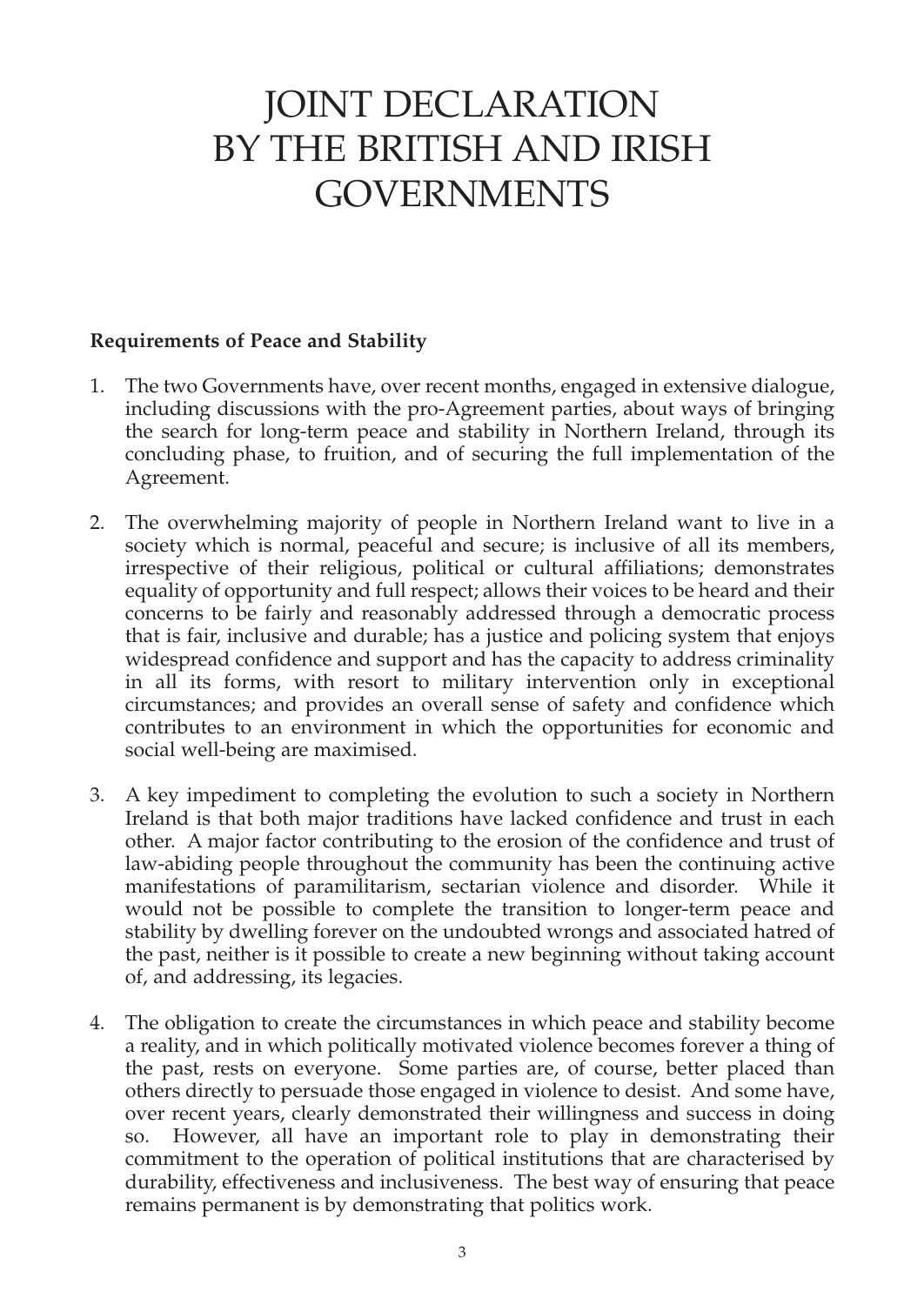# JOINT DECLARATION BY THE BRITISH AND IRISH GOVERNMENTS

#### **Requirements of Peace and Stability**

- 1. The two Governments have, over recent months, engaged in extensive dialogue, including discussions with the pro-Agreement parties, about ways of bringing the search for long-term peace and stability in Northern Ireland, through its concluding phase, to fruition, and of securing the full implementation of the Agreement.
- 2. The overwhelming majority of people in Northern Ireland want to live in a society which is normal, peaceful and secure; is inclusive of all its members, irrespective of their religious, political or cultural affiliations; demonstrates equality of opportunity and full respect; allows their voices to be heard and their concerns to be fairly and reasonably addressed through a democratic process that is fair, inclusive and durable; has a justice and policing system that enjoys widespread confidence and support and has the capacity to address criminality in all its forms, with resort to military intervention only in exceptional circumstances; and provides an overall sense of safety and confidence which contributes to an environment in which the opportunities for economic and social well-being are maximised.
- 3. A key impediment to completing the evolution to such a society in Northern Ireland is that both major traditions have lacked confidence and trust in each other. A major factor contributing to the erosion of the confidence and trust of law-abiding people throughout the community has been the continuing active manifestations of paramilitarism, sectarian violence and disorder. While it would not be possible to complete the transition to longer-term peace and stability by dwelling forever on the undoubted wrongs and associated hatred of the past, neither is it possible to create a new beginning without taking account of, and addressing, its legacies.
- 4. The obligation to create the circumstances in which peace and stability become a reality, and in which politically motivated violence becomes forever a thing of the past, rests on everyone. Some parties are, of course, better placed than others directly to persuade those engaged in violence to desist. And some have, over recent years, clearly demonstrated their willingness and success in doing so. However, all have an important role to play in demonstrating their commitment to the operation of political institutions that are characterised by durability, effectiveness and inclusiveness. The best way of ensuring that peace remains permanent is by demonstrating that politics work.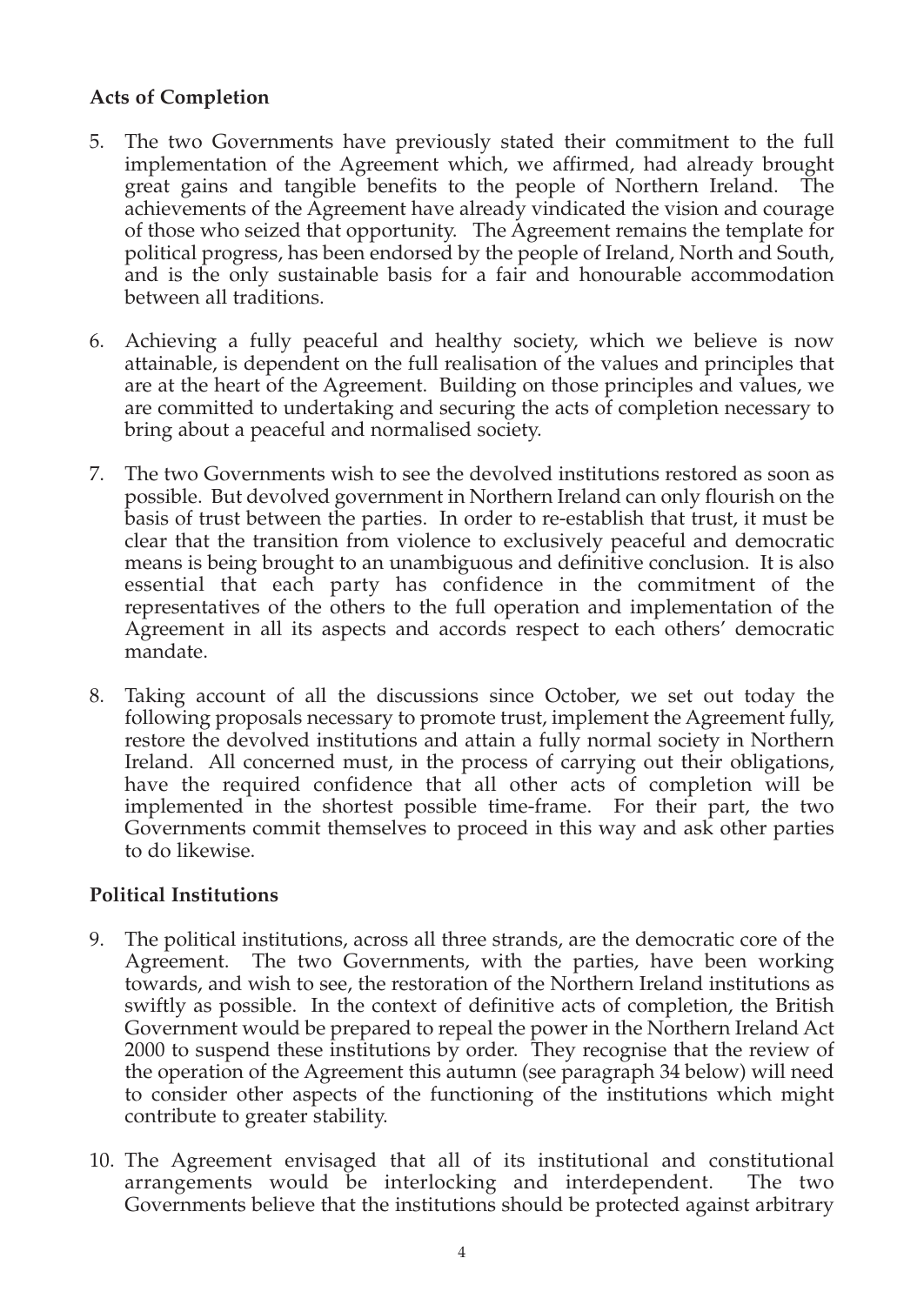#### **Acts of Completion**

- 5. The two Governments have previously stated their commitment to the full implementation of the Agreement which, we affirmed, had already brought great gains and tangible benefits to the people of Northern Ireland. The achievements of the Agreement have already vindicated the vision and courage of those who seized that opportunity. The Agreement remains the template for political progress, has been endorsed by the people of Ireland, North and South, and is the only sustainable basis for a fair and honourable accommodation between all traditions.
- 6. Achieving a fully peaceful and healthy society, which we believe is now attainable, is dependent on the full realisation of the values and principles that are at the heart of the Agreement. Building on those principles and values, we are committed to undertaking and securing the acts of completion necessary to bring about a peaceful and normalised society.
- 7. The two Governments wish to see the devolved institutions restored as soon as possible. But devolved government in Northern Ireland can only flourish on the basis of trust between the parties. In order to re-establish that trust, it must be clear that the transition from violence to exclusively peaceful and democratic means is being brought to an unambiguous and definitive conclusion. It is also essential that each party has confidence in the commitment of the representatives of the others to the full operation and implementation of the Agreement in all its aspects and accords respect to each others' democratic mandate.
- 8. Taking account of all the discussions since October, we set out today the following proposals necessary to promote trust, implement the Agreement fully, restore the devolved institutions and attain a fully normal society in Northern Ireland. All concerned must, in the process of carrying out their obligations, have the required confidence that all other acts of completion will be implemented in the shortest possible time-frame. For their part, the two Governments commit themselves to proceed in this way and ask other parties to do likewise.

#### **Political Institutions**

- 9. The political institutions, across all three strands, are the democratic core of the Agreement. The two Governments, with the parties, have been working towards, and wish to see, the restoration of the Northern Ireland institutions as swiftly as possible. In the context of definitive acts of completion, the British Government would be prepared to repeal the power in the Northern Ireland Act 2000 to suspend these institutions by order. They recognise that the review of the operation of the Agreement this autumn (see paragraph 34 below) will need to consider other aspects of the functioning of the institutions which might contribute to greater stability.
- 10. The Agreement envisaged that all of its institutional and constitutional arrangements would be interlocking and interdependent. The two Governments believe that the institutions should be protected against arbitrary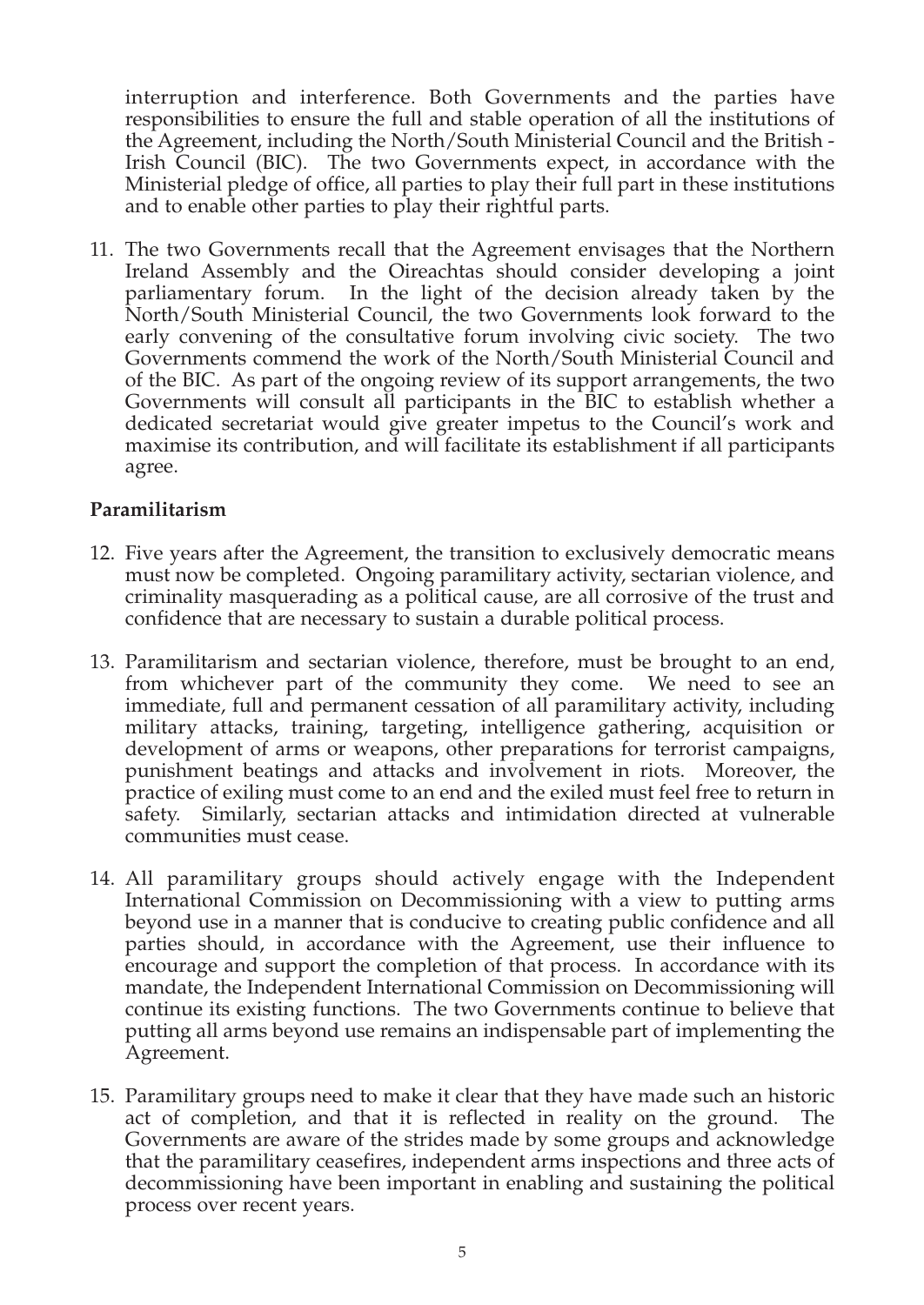interruption and interference. Both Governments and the parties have responsibilities to ensure the full and stable operation of all the institutions of the Agreement, including the North/South Ministerial Council and the British - Irish Council (BIC). The two Governments expect, in accordance with the Ministerial pledge of office, all parties to play their full part in these institutions and to enable other parties to play their rightful parts.

11. The two Governments recall that the Agreement envisages that the Northern Ireland Assembly and the Oireachtas should consider developing a joint parliamentary forum. In the light of the decision already taken by the North/South Ministerial Council, the two Governments look forward to the early convening of the consultative forum involving civic society. The two Governments commend the work of the North/South Ministerial Council and of the BIC. As part of the ongoing review of its support arrangements, the two Governments will consult all participants in the BIC to establish whether a dedicated secretariat would give greater impetus to the Council's work and maximise its contribution, and will facilitate its establishment if all participants agree.

#### **Paramilitarism**

- 12. Five years after the Agreement, the transition to exclusively democratic means must now be completed. Ongoing paramilitary activity, sectarian violence, and criminality masquerading as a political cause, are all corrosive of the trust and confidence that are necessary to sustain a durable political process.
- 13. Paramilitarism and sectarian violence, therefore, must be brought to an end, from whichever part of the community they come. We need to see an immediate, full and permanent cessation of all paramilitary activity, including military attacks, training, targeting, intelligence gathering, acquisition or development of arms or weapons, other preparations for terrorist campaigns, punishment beatings and attacks and involvement in riots. Moreover, the practice of exiling must come to an end and the exiled must feel free to return in safety. Similarly, sectarian attacks and intimidation directed at vulnerable communities must cease.
- 14. All paramilitary groups should actively engage with the Independent International Commission on Decommissioning with a view to putting arms beyond use in a manner that is conducive to creating public confidence and all parties should, in accordance with the Agreement, use their influence to encourage and support the completion of that process. In accordance with its mandate, the Independent International Commission on Decommissioning will continue its existing functions. The two Governments continue to believe that putting all arms beyond use remains an indispensable part of implementing the Agreement.
- 15. Paramilitary groups need to make it clear that they have made such an historic act of completion, and that it is reflected in reality on the ground. The Governments are aware of the strides made by some groups and acknowledge that the paramilitary ceasefires, independent arms inspections and three acts of decommissioning have been important in enabling and sustaining the political process over recent years.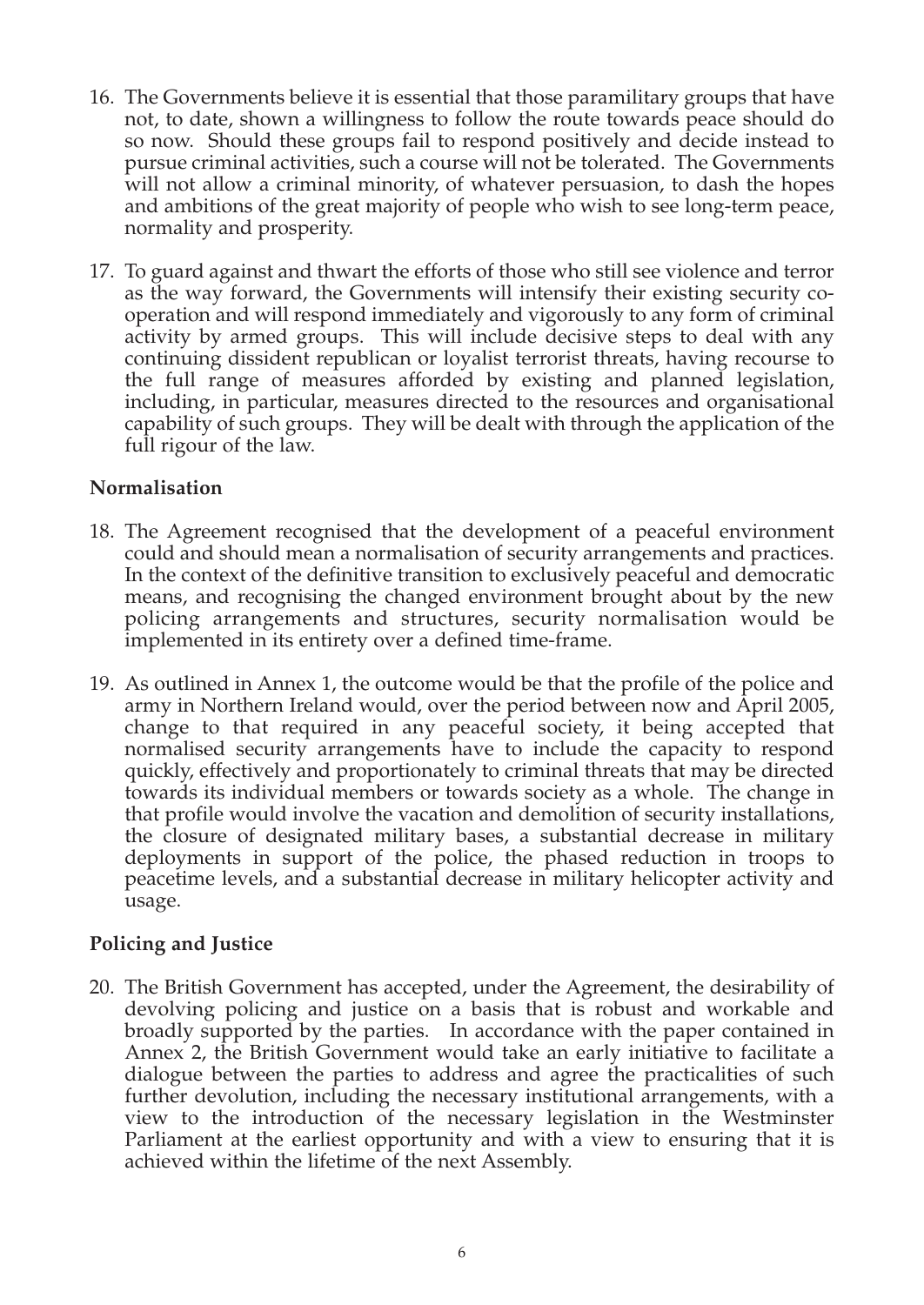- 16. The Governments believe it is essential that those paramilitary groups that have not, to date, shown a willingness to follow the route towards peace should do so now. Should these groups fail to respond positively and decide instead to pursue criminal activities, such a course will not be tolerated. The Governments will not allow a criminal minority, of whatever persuasion, to dash the hopes and ambitions of the great majority of people who wish to see long-term peace, normality and prosperity.
- 17. To guard against and thwart the efforts of those who still see violence and terror as the way forward, the Governments will intensify their existing security cooperation and will respond immediately and vigorously to any form of criminal activity by armed groups. This will include decisive steps to deal with any continuing dissident republican or loyalist terrorist threats, having recourse to the full range of measures afforded by existing and planned legislation, including, in particular, measures directed to the resources and organisational capability of such groups. They will be dealt with through the application of the full rigour of the law.

#### **Normalisation**

- 18. The Agreement recognised that the development of a peaceful environment could and should mean a normalisation of security arrangements and practices. In the context of the definitive transition to exclusively peaceful and democratic means, and recognising the changed environment brought about by the new policing arrangements and structures, security normalisation would be implemented in its entirety over a defined time-frame.
- 19. As outlined in Annex 1, the outcome would be that the profile of the police and army in Northern Ireland would, over the period between now and April 2005, change to that required in any peaceful society, it being accepted that normalised security arrangements have to include the capacity to respond quickly, effectively and proportionately to criminal threats that may be directed towards its individual members or towards society as a whole. The change in that profile would involve the vacation and demolition of security installations, the closure of designated military bases, a substantial decrease in military deployments in support of the police, the phased reduction in troops to peacetime levels, and a substantial decrease in military helicopter activity and usage.

#### **Policing and Justice**

20. The British Government has accepted, under the Agreement, the desirability of devolving policing and justice on a basis that is robust and workable and broadly supported by the parties. In accordance with the paper contained in Annex 2, the British Government would take an early initiative to facilitate a dialogue between the parties to address and agree the practicalities of such further devolution, including the necessary institutional arrangements, with a view to the introduction of the necessary legislation in the Westminster Parliament at the earliest opportunity and with a view to ensuring that it is achieved within the lifetime of the next Assembly.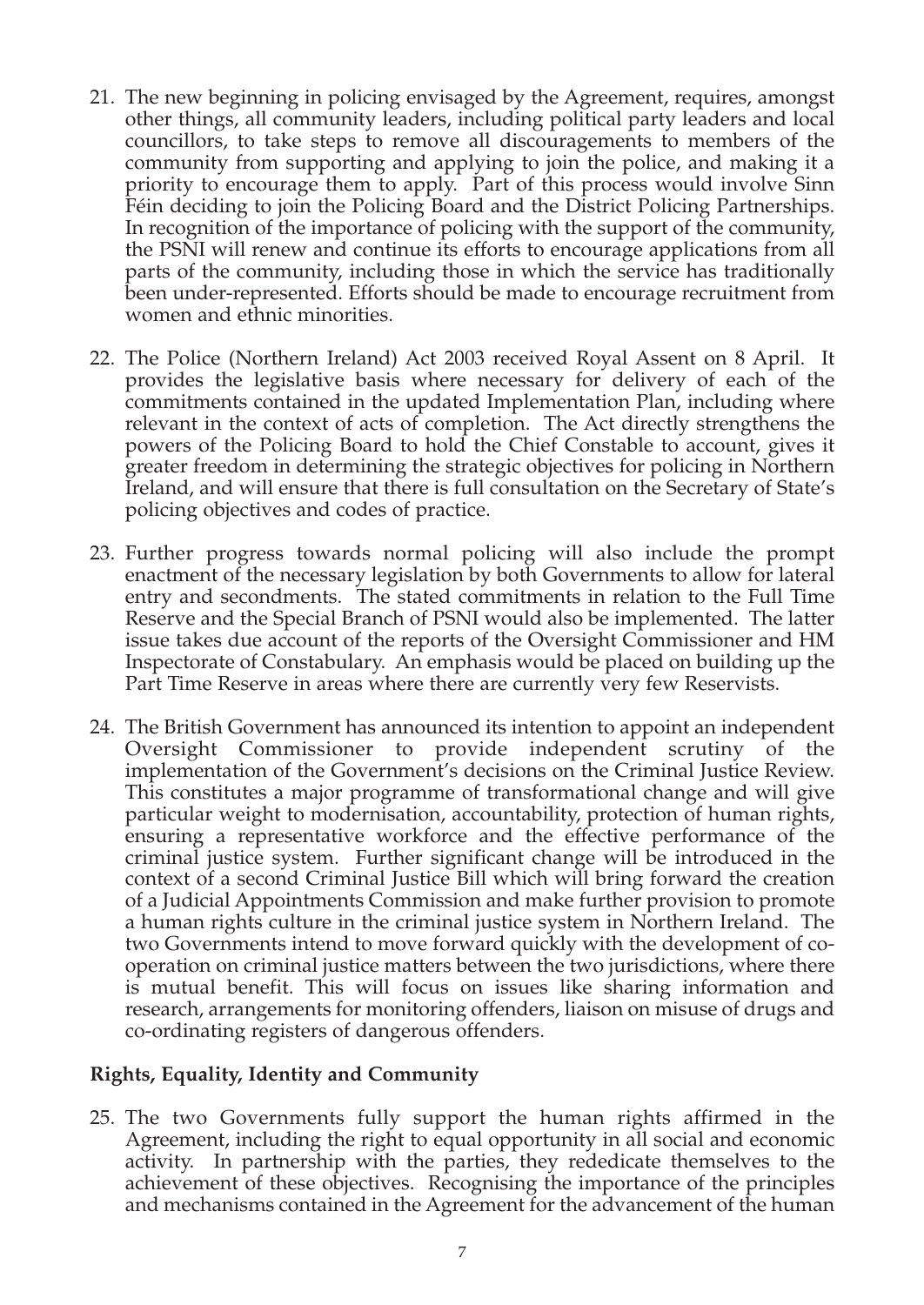- 21. The new beginning in policing envisaged by the Agreement, requires, amongst other things, all community leaders, including political party leaders and local councillors, to take steps to remove all discouragements to members of the community from supporting and applying to join the police, and making it a priority to encourage them to apply. Part of this process would involve Sinn Féin deciding to join the Policing Board and the District Policing Partnerships. In recognition of the importance of policing with the support of the community, the PSNI will renew and continue its efforts to encourage applications from all parts of the community, including those in which the service has traditionally been under-represented. Efforts should be made to encourage recruitment from women and ethnic minorities.
- 22. The Police (Northern Ireland) Act 2003 received Royal Assent on 8 April. It provides the legislative basis where necessary for delivery of each of the commitments contained in the updated Implementation Plan, including where relevant in the context of acts of completion. The Act directly strengthens the powers of the Policing Board to hold the Chief Constable to account, gives it greater freedom in determining the strategic objectives for policing in Northern Ireland, and will ensure that there is full consultation on the Secretary of State's policing objectives and codes of practice.
- 23. Further progress towards normal policing will also include the prompt enactment of the necessary legislation by both Governments to allow for lateral entry and secondments. The stated commitments in relation to the Full Time Reserve and the Special Branch of PSNI would also be implemented. The latter issue takes due account of the reports of the Oversight Commissioner and HM Inspectorate of Constabulary. An emphasis would be placed on building up the Part Time Reserve in areas where there are currently very few Reservists.
- 24. The British Government has announced its intention to appoint an independent Oversight Commissioner to provide independent scrutiny of the implementation of the Government's decisions on the Criminal Justice Review. This constitutes a major programme of transformational change and will give particular weight to modernisation, accountability, protection of human rights, ensuring a representative workforce and the effective performance of the criminal justice system. Further significant change will be introduced in the context of a second Criminal Justice Bill which will bring forward the creation of a Judicial Appointments Commission and make further provision to promote a human rights culture in the criminal justice system in Northern Ireland. The two Governments intend to move forward quickly with the development of cooperation on criminal justice matters between the two jurisdictions, where there is mutual benefit. This will focus on issues like sharing information and research, arrangements for monitoring offenders, liaison on misuse of drugs and co-ordinating registers of dangerous offenders.

#### **Rights, Equality, Identity and Community**

25. The two Governments fully support the human rights affirmed in the Agreement, including the right to equal opportunity in all social and economic activity. In partnership with the parties, they rededicate themselves to the achievement of these objectives. Recognising the importance of the principles and mechanisms contained in the Agreement for the advancement of the human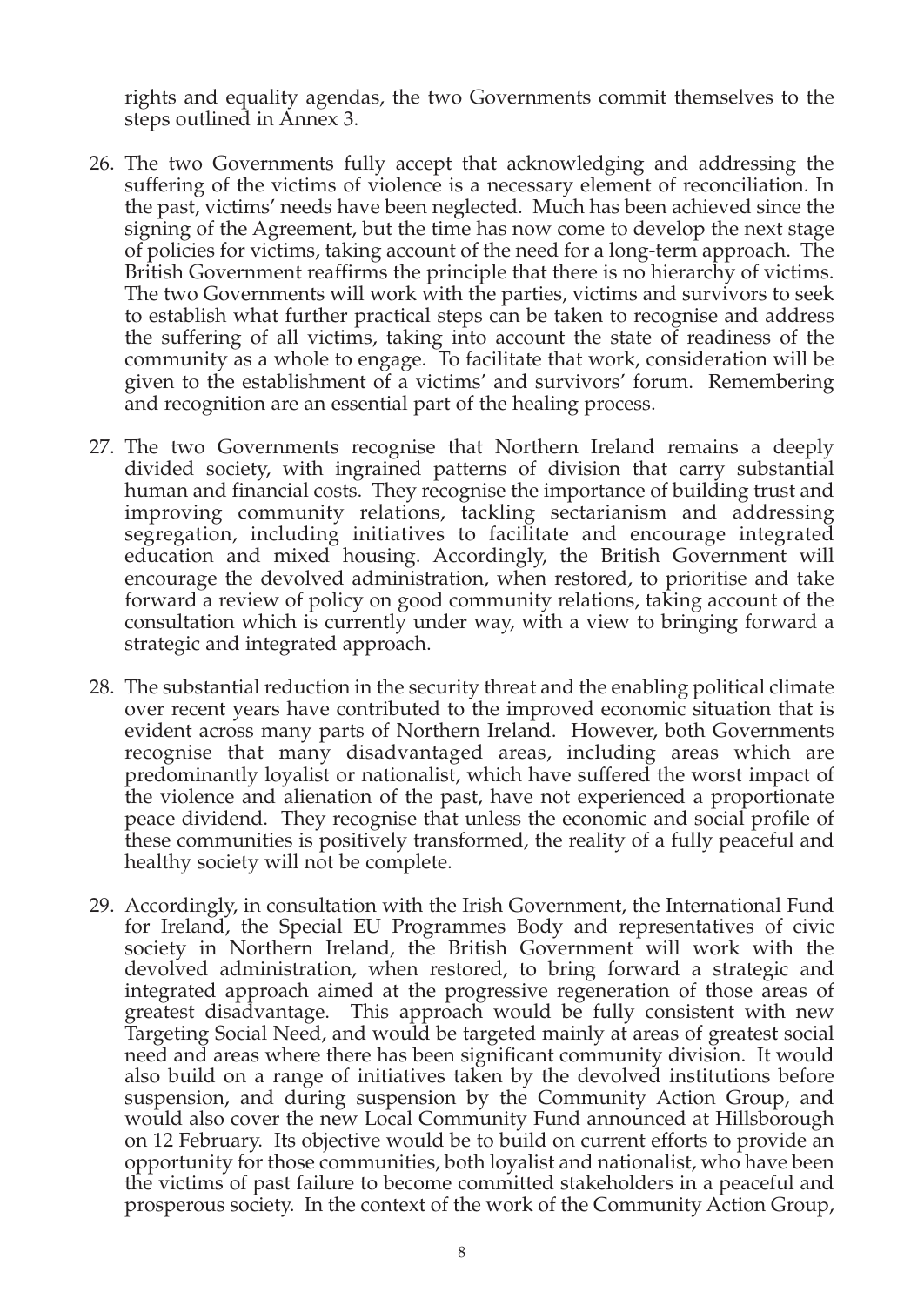rights and equality agendas, the two Governments commit themselves to the steps outlined in Annex 3.

- 26. The two Governments fully accept that acknowledging and addressing the suffering of the victims of violence is a necessary element of reconciliation. In the past, victims' needs have been neglected. Much has been achieved since the signing of the Agreement, but the time has now come to develop the next stage of policies for victims, taking account of the need for a long-term approach. The British Government reaffirms the principle that there is no hierarchy of victims. The two Governments will work with the parties, victims and survivors to seek to establish what further practical steps can be taken to recognise and address the suffering of all victims, taking into account the state of readiness of the community as a whole to engage. To facilitate that work, consideration will be given to the establishment of a victims' and survivors' forum. Remembering and recognition are an essential part of the healing process.
- 27. The two Governments recognise that Northern Ireland remains a deeply divided society, with ingrained patterns of division that carry substantial human and financial costs. They recognise the importance of building trust and improving community relations, tackling sectarianism and addressing segregation, including initiatives to facilitate and encourage integrated education and mixed housing. Accordingly, the British Government will encourage the devolved administration, when restored, to prioritise and take forward a review of policy on good community relations, taking account of the consultation which is currently under way, with a view to bringing forward a strategic and integrated approach.
- 28. The substantial reduction in the security threat and the enabling political climate over recent years have contributed to the improved economic situation that is evident across many parts of Northern Ireland. However, both Governments recognise that many disadvantaged areas, including areas which are predominantly loyalist or nationalist, which have suffered the worst impact of the violence and alienation of the past, have not experienced a proportionate peace dividend. They recognise that unless the economic and social profile of these communities is positively transformed, the reality of a fully peaceful and healthy society will not be complete.
- 29. Accordingly, in consultation with the Irish Government, the International Fund for Ireland, the Special EU Programmes Body and representatives of civic society in Northern Ireland, the British Government will work with the devolved administration, when restored, to bring forward a strategic and integrated approach aimed at the progressive regeneration of those areas of greatest disadvantage. This approach would be fully consistent with new Targeting Social Need, and would be targeted mainly at areas of greatest social need and areas where there has been significant community division. It would also build on a range of initiatives taken by the devolved institutions before suspension, and during suspension by the Community Action Group, and would also cover the new Local Community Fund announced at Hillsborough on 12 February. Its objective would be to build on current efforts to provide an opportunity for those communities, both loyalist and nationalist, who have been the victims of past failure to become committed stakeholders in a peaceful and prosperous society. In the context of the work of the Community Action Group,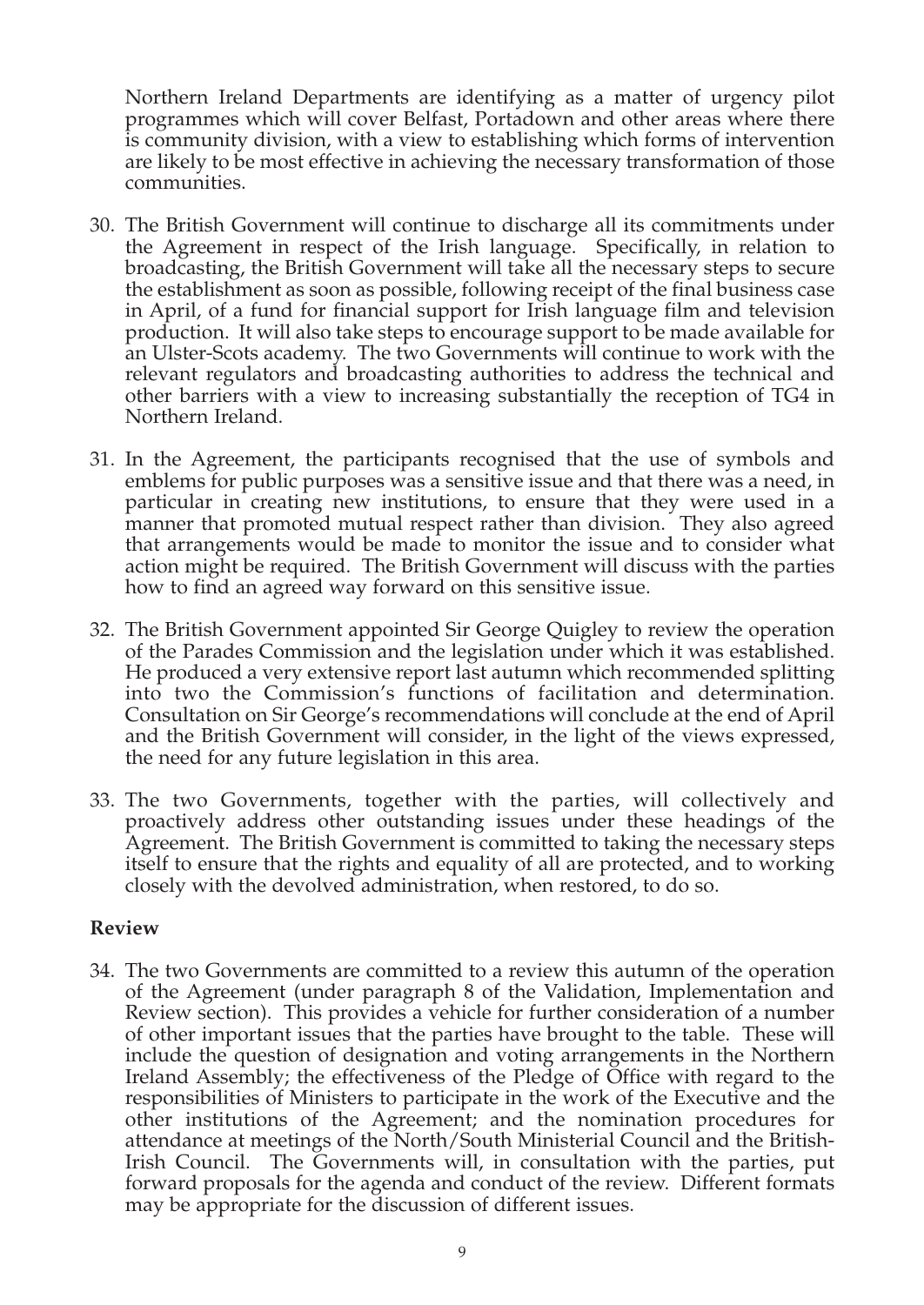Northern Ireland Departments are identifying as a matter of urgency pilot programmes which will cover Belfast, Portadown and other areas where there is community division, with a view to establishing which forms of intervention are likely to be most effective in achieving the necessary transformation of those communities.

- 30. The British Government will continue to discharge all its commitments under the Agreement in respect of the Irish language. Specifically, in relation to broadcasting, the British Government will take all the necessary steps to secure the establishment as soon as possible, following receipt of the final business case in April, of a fund for financial support for Irish language film and television production. It will also take steps to encourage support to be made available for an Ulster-Scots academy. The two Governments will continue to work with the relevant regulators and broadcasting authorities to address the technical and other barriers with a view to increasing substantially the reception of TG4 in Northern Ireland.
- 31. In the Agreement, the participants recognised that the use of symbols and emblems for public purposes was a sensitive issue and that there was a need, in particular in creating new institutions, to ensure that they were used in a manner that promoted mutual respect rather than division. They also agreed that arrangements would be made to monitor the issue and to consider what action might be required. The British Government will discuss with the parties how to find an agreed way forward on this sensitive issue.
- 32. The British Government appointed Sir George Quigley to review the operation of the Parades Commission and the legislation under which it was established. He produced a very extensive report last autumn which recommended splitting into two the Commission's functions of facilitation and determination. Consultation on Sir George's recommendations will conclude at the end of April and the British Government will consider, in the light of the views expressed, the need for any future legislation in this area.
- 33. The two Governments, together with the parties, will collectively and proactively address other outstanding issues under these headings of the Agreement. The British Government is committed to taking the necessary steps itself to ensure that the rights and equality of all are protected, and to working closely with the devolved administration, when restored, to do so.

#### **Review**

34. The two Governments are committed to a review this autumn of the operation of the Agreement (under paragraph 8 of the Validation, Implementation and Review section). This provides a vehicle for further consideration of a number of other important issues that the parties have brought to the table. These will include the question of designation and voting arrangements in the Northern Ireland Assembly; the effectiveness of the Pledge of Office with regard to the responsibilities of Ministers to participate in the work of the Executive and the other institutions of the Agreement; and the nomination procedures for attendance at meetings of the North/South Ministerial Council and the British-Irish Council. The Governments will, in consultation with the parties, put forward proposals for the agenda and conduct of the review. Different formats may be appropriate for the discussion of different issues.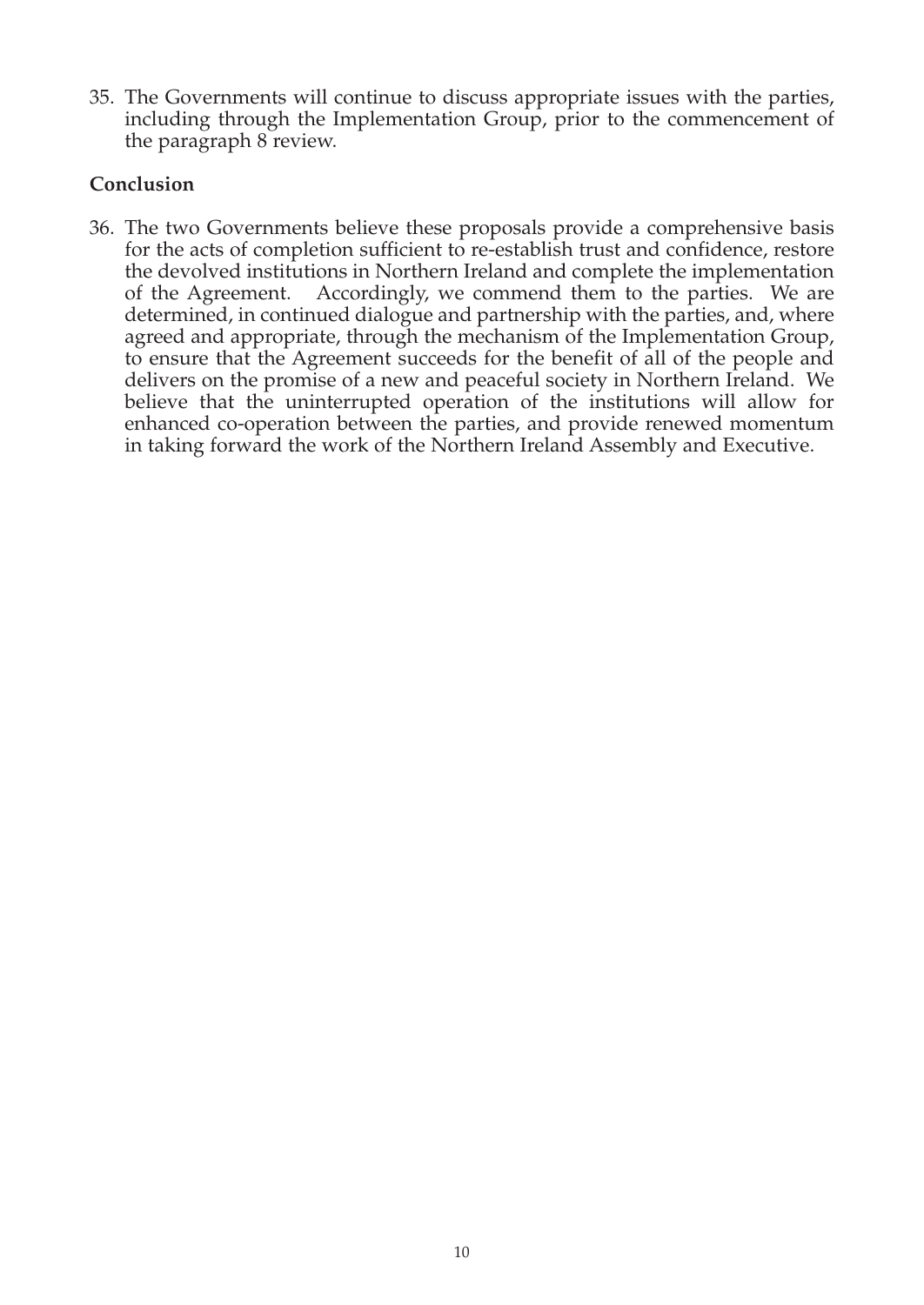35. The Governments will continue to discuss appropriate issues with the parties, including through the Implementation Group, prior to the commencement of the paragraph 8 review.

#### **Conclusion**

36. The two Governments believe these proposals provide a comprehensive basis for the acts of completion sufficient to re-establish trust and confidence, restore the devolved institutions in Northern Ireland and complete the implementation of the Agreement. Accordingly, we commend them to the parties. We are determined, in continued dialogue and partnership with the parties, and, where agreed and appropriate, through the mechanism of the Implementation Group, to ensure that the Agreement succeeds for the benefit of all of the people and delivers on the promise of a new and peaceful society in Northern Ireland. We believe that the uninterrupted operation of the institutions will allow for enhanced co-operation between the parties, and provide renewed momentum in taking forward the work of the Northern Ireland Assembly and Executive.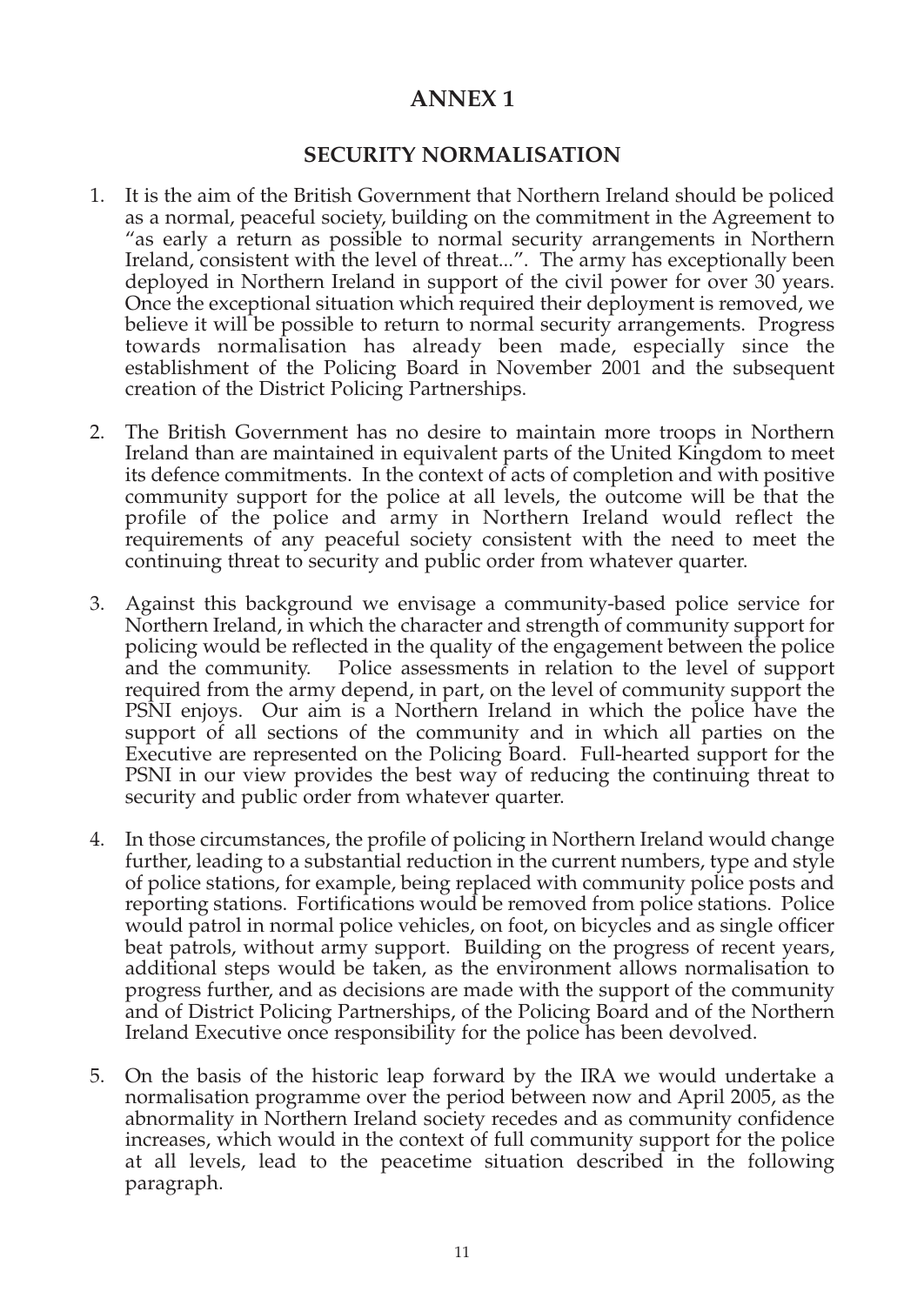# **ANNEX 1**

#### **SECURITY NORMALISATION**

- 1. It is the aim of the British Government that Northern Ireland should be policed as a normal, peaceful society, building on the commitment in the Agreement to "as early a return as possible to normal security arrangements in Northern Ireland, consistent with the level of threat...". The army has exceptionally been deployed in Northern Ireland in support of the civil power for over 30 years. Once the exceptional situation which required their deployment is removed, we believe it will be possible to return to normal security arrangements. Progress towards normalisation has already been made, especially since the establishment of the Policing Board in November 2001 and the subsequent creation of the District Policing Partnerships.
- 2. The British Government has no desire to maintain more troops in Northern Ireland than are maintained in equivalent parts of the United Kingdom to meet its defence commitments. In the context of acts of completion and with positive community support for the police at all levels, the outcome will be that the profile of the police and army in Northern Ireland would reflect the requirements of any peaceful society consistent with the need to meet the continuing threat to security and public order from whatever quarter.
- 3. Against this background we envisage a community-based police service for Northern Ireland, in which the character and strength of community support for policing would be reflected in the quality of the engagement between the police and the community. Police assessments in relation to the level of support required from the army depend, in part, on the level of community support the PSNI enjoys. Our aim is a Northern Ireland in which the police have the support of all sections of the community and in which all parties on the Executive are represented on the Policing Board. Full-hearted support for the PSNI in our view provides the best way of reducing the continuing threat to security and public order from whatever quarter.
- 4. In those circumstances, the profile of policing in Northern Ireland would change further, leading to a substantial reduction in the current numbers, type and style of police stations, for example, being replaced with community police posts and reporting stations. Fortifications would be removed from police stations. Police would patrol in normal police vehicles, on foot, on bicycles and as single officer beat patrols, without army support. Building on the progress of recent years, additional steps would be taken, as the environment allows normalisation to progress further, and as decisions are made with the support of the community and of District Policing Partnerships, of the Policing Board and of the Northern Ireland Executive once responsibility for the police has been devolved.
- 5. On the basis of the historic leap forward by the IRA we would undertake a normalisation programme over the period between now and April 2005, as the abnormality in Northern Ireland society recedes and as community confidence increases, which would in the context of full community support for the police at all levels, lead to the peacetime situation described in the following paragraph.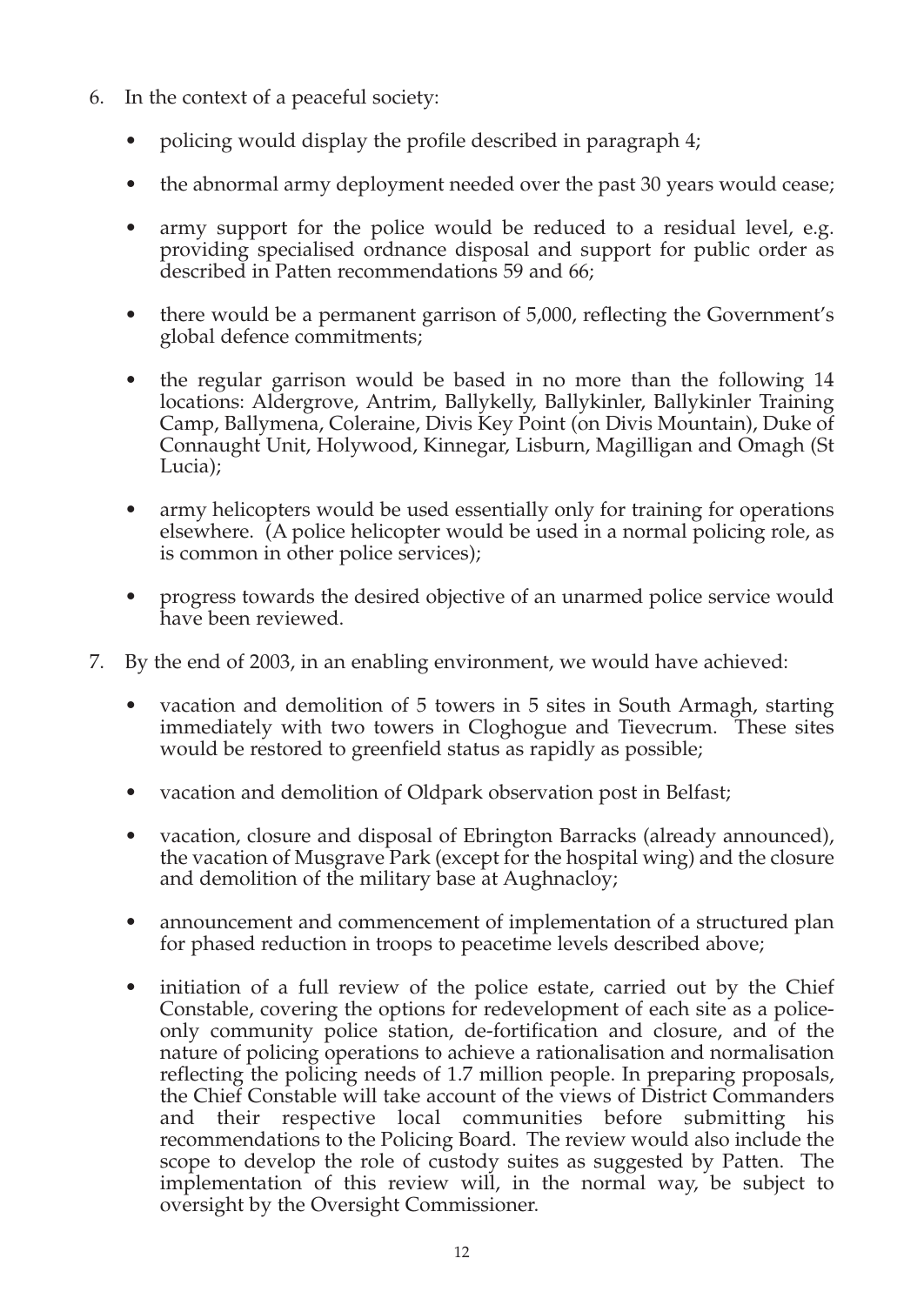- 6. In the context of a peaceful society:
	- policing would display the profile described in paragraph 4;
	- the abnormal army deployment needed over the past 30 years would cease;
	- army support for the police would be reduced to a residual level, e.g. providing specialised ordnance disposal and support for public order as described in Patten recommendations 59 and 66;
	- there would be a permanent garrison of 5,000, reflecting the Government's global defence commitments;
	- the regular garrison would be based in no more than the following 14 locations: Aldergrove, Antrim, Ballykelly, Ballykinler, Ballykinler Training Camp, Ballymena, Coleraine, Divis Key Point (on Divis Mountain), Duke of Connaught Unit, Holywood, Kinnegar, Lisburn, Magilligan and Omagh (St Lucia);
	- army helicopters would be used essentially only for training for operations elsewhere. (A police helicopter would be used in a normal policing role, as is common in other police services);
	- progress towards the desired objective of an unarmed police service would have been reviewed.
- 7. By the end of 2003, in an enabling environment, we would have achieved:
	- vacation and demolition of 5 towers in 5 sites in South Armagh, starting immediately with two towers in Cloghogue and Tievecrum. These sites would be restored to greenfield status as rapidly as possible;
	- vacation and demolition of Oldpark observation post in Belfast;
	- vacation, closure and disposal of Ebrington Barracks (already announced), the vacation of Musgrave Park (except for the hospital wing) and the closure and demolition of the military base at Aughnacloy;
	- announcement and commencement of implementation of a structured plan for phased reduction in troops to peacetime levels described above;
	- initiation of a full review of the police estate, carried out by the Chief Constable, covering the options for redevelopment of each site as a policeonly community police station, de-fortification and closure, and of the nature of policing operations to achieve a rationalisation and normalisation reflecting the policing needs of 1.7 million people. In preparing proposals, the Chief Constable will take account of the views of District Commanders and their respective local communities before submitting his recommendations to the Policing Board. The review would also include the scope to develop the role of custody suites as suggested by Patten. The implementation of this review will, in the normal way, be subject to oversight by the Oversight Commissioner.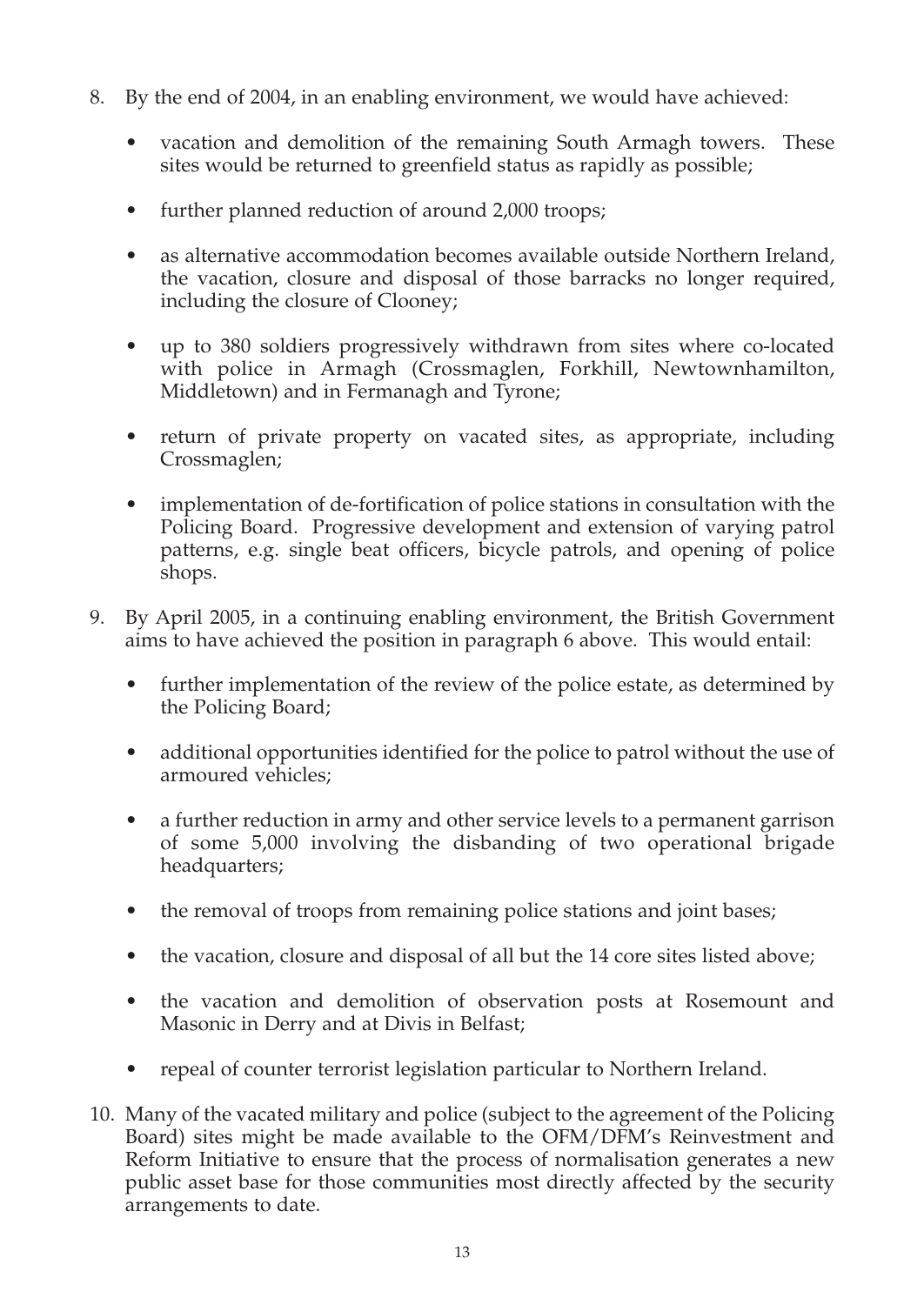- 8. By the end of 2004, in an enabling environment, we would have achieved:
	- vacation and demolition of the remaining South Armagh towers. These sites would be returned to greenfield status as rapidly as possible;
	- further planned reduction of around 2,000 troops;
	- as alternative accommodation becomes available outside Northern Ireland, the vacation, closure and disposal of those barracks no longer required, including the closure of Clooney;
	- up to 380 soldiers progressively withdrawn from sites where co-located with police in Armagh (Crossmaglen, Forkhill, Newtownhamilton, Middletown) and in Fermanagh and Tyrone;
	- return of private property on vacated sites, as appropriate, including Crossmaglen;
	- implementation of de-fortification of police stations in consultation with the Policing Board. Progressive development and extension of varying patrol patterns, e.g. single beat officers, bicycle patrols, and opening of police shops.
- 9. By April 2005, in a continuing enabling environment, the British Government aims to have achieved the position in paragraph 6 above. This would entail:
	- further implementation of the review of the police estate, as determined by the Policing Board;
	- additional opportunities identified for the police to patrol without the use of armoured vehicles;
	- a further reduction in army and other service levels to a permanent garrison of some 5,000 involving the disbanding of two operational brigade headquarters;
	- the removal of troops from remaining police stations and joint bases;
	- the vacation, closure and disposal of all but the 14 core sites listed above;
	- the vacation and demolition of observation posts at Rosemount and Masonic in Derry and at Divis in Belfast;
	- repeal of counter terrorist legislation particular to Northern Ireland.
- 10. Many of the vacated military and police (subject to the agreement of the Policing Board) sites might be made available to the OFM/DFM's Reinvestment and Reform Initiative to ensure that the process of normalisation generates a new public asset base for those communities most directly affected by the security arrangements to date.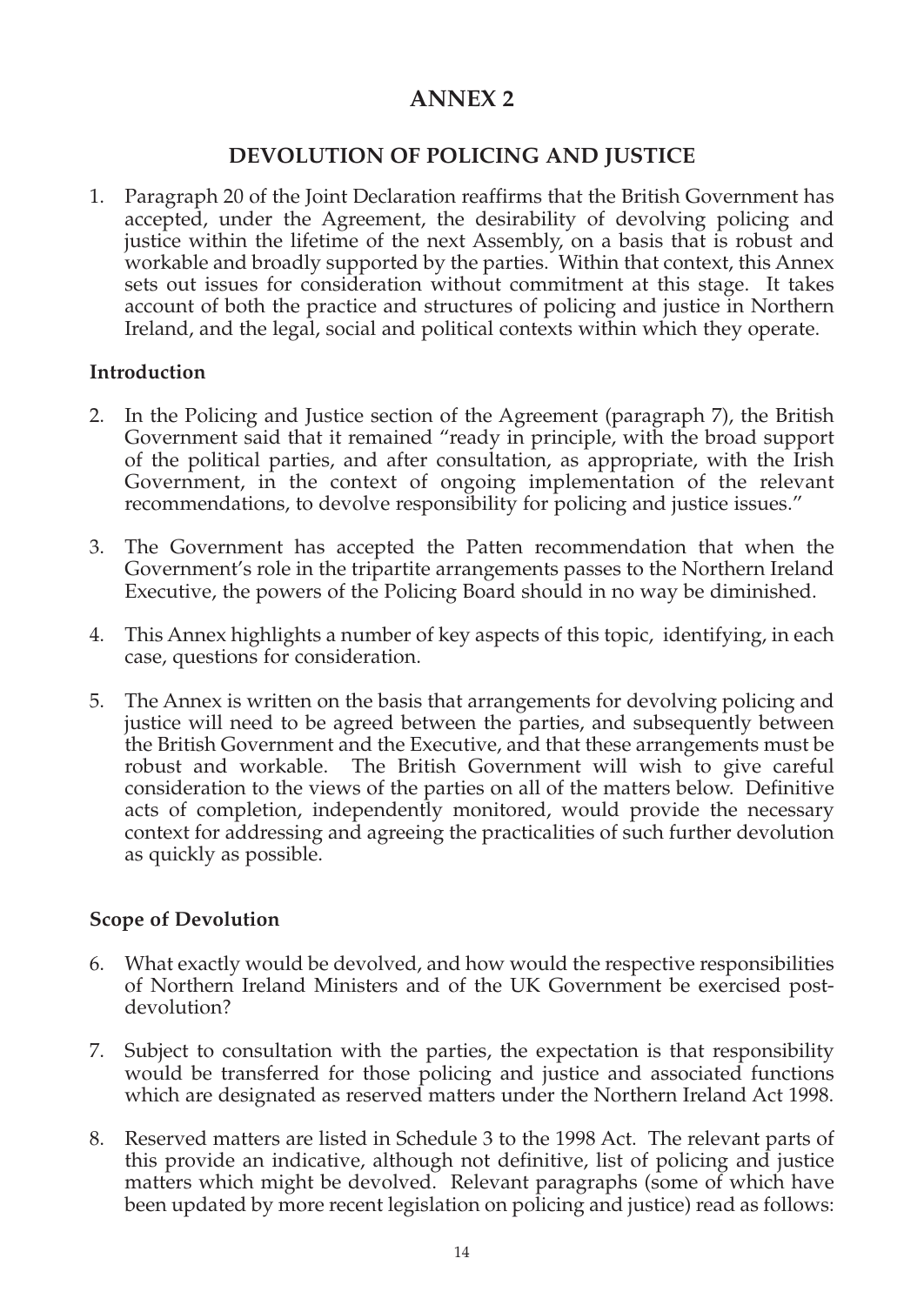# **ANNEX 2**

#### **DEVOLUTION OF POLICING AND JUSTICE**

1. Paragraph 20 of the Joint Declaration reaffirms that the British Government has accepted, under the Agreement, the desirability of devolving policing and justice within the lifetime of the next Assembly, on a basis that is robust and workable and broadly supported by the parties. Within that context, this Annex sets out issues for consideration without commitment at this stage. It takes account of both the practice and structures of policing and justice in Northern Ireland, and the legal, social and political contexts within which they operate.

#### **Introduction**

- 2. In the Policing and Justice section of the Agreement (paragraph 7), the British Government said that it remained "ready in principle, with the broad support of the political parties, and after consultation, as appropriate, with the Irish Government, in the context of ongoing implementation of the relevant recommendations, to devolve responsibility for policing and justice issues."
- 3. The Government has accepted the Patten recommendation that when the Government's role in the tripartite arrangements passes to the Northern Ireland Executive, the powers of the Policing Board should in no way be diminished.
- 4. This Annex highlights a number of key aspects of this topic, identifying, in each case, questions for consideration.
- 5. The Annex is written on the basis that arrangements for devolving policing and justice will need to be agreed between the parties, and subsequently between the British Government and the Executive, and that these arrangements must be robust and workable. The British Government will wish to give careful consideration to the views of the parties on all of the matters below. Definitive acts of completion, independently monitored, would provide the necessary context for addressing and agreeing the practicalities of such further devolution as quickly as possible.

#### **Scope of Devolution**

- 6. What exactly would be devolved, and how would the respective responsibilities of Northern Ireland Ministers and of the UK Government be exercised postdevolution?
- 7. Subject to consultation with the parties, the expectation is that responsibility would be transferred for those policing and justice and associated functions which are designated as reserved matters under the Northern Ireland Act 1998.
- 8. Reserved matters are listed in Schedule 3 to the 1998 Act. The relevant parts of this provide an indicative, although not definitive, list of policing and justice matters which might be devolved. Relevant paragraphs (some of which have been updated by more recent legislation on policing and justice) read as follows: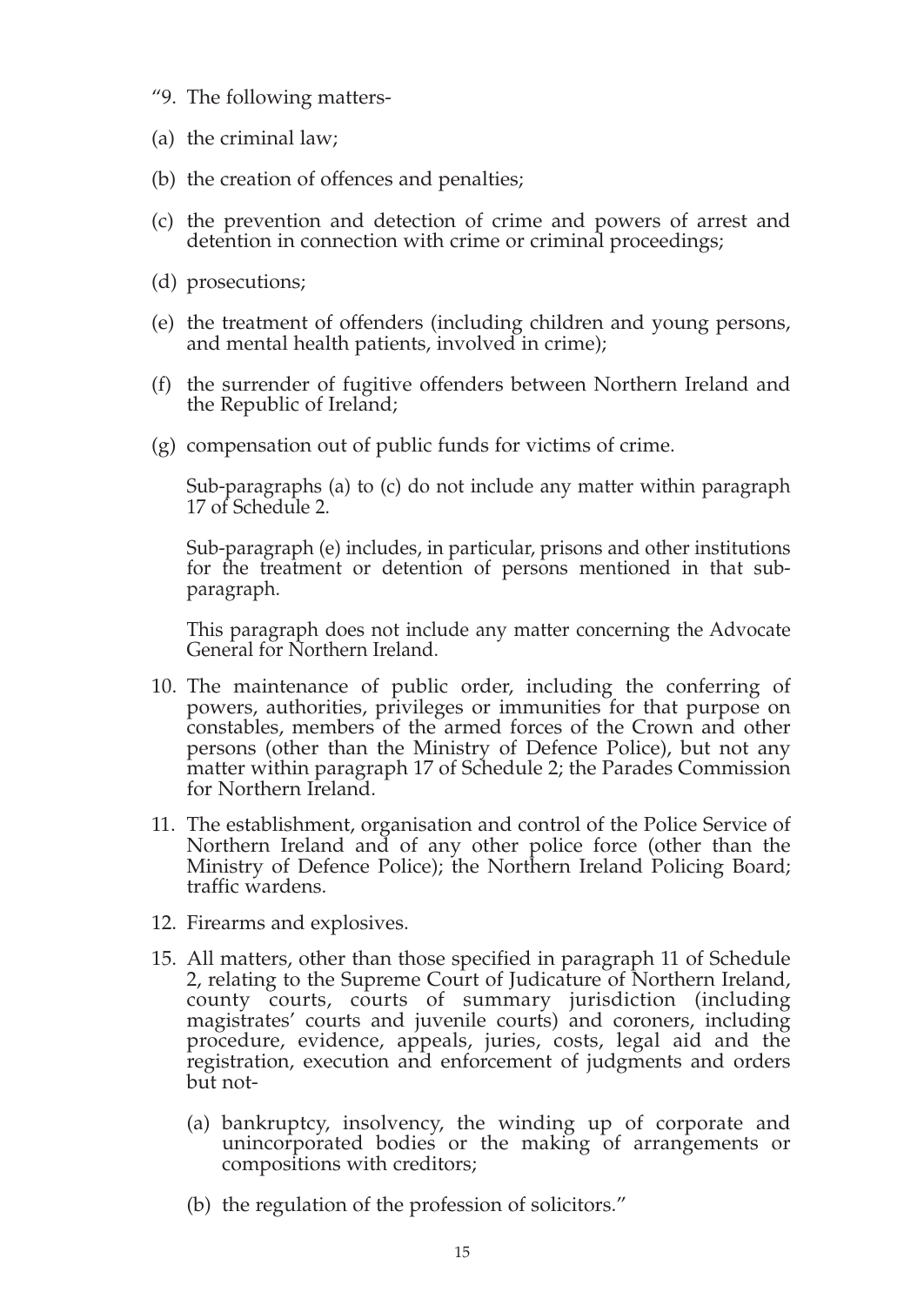- "9. The following matters-
- (a) the criminal law;
- (b) the creation of offences and penalties;
- (c) the prevention and detection of crime and powers of arrest and detention in connection with crime or criminal proceedings;
- (d) prosecutions;
- (e) the treatment of offenders (including children and young persons, and mental health patients, involved in crime);
- (f) the surrender of fugitive offenders between Northern Ireland and the Republic of Ireland;
- (g) compensation out of public funds for victims of crime.

Sub-paragraphs (a) to (c) do not include any matter within paragraph 17 of Schedule 2.

Sub-paragraph (e) includes, in particular, prisons and other institutions for the treatment or detention of persons mentioned in that subparagraph.

This paragraph does not include any matter concerning the Advocate General for Northern Ireland.

- 10. The maintenance of public order, including the conferring of powers, authorities, privileges or immunities for that purpose on constables, members of the armed forces of the Crown and other persons (other than the Ministry of Defence Police), but not any matter within paragraph 17 of Schedule 2; the Parades Commission for Northern Ireland.
- 11. The establishment, organisation and control of the Police Service of Northern Ireland and of any other police force (other than the Ministry of Defence Police); the Northern Ireland Policing Board; traffic wardens.
- 12. Firearms and explosives.
- 15. All matters, other than those specified in paragraph 11 of Schedule 2, relating to the Supreme Court of Judicature of Northern Ireland, county courts, courts of summary jurisdiction (including magistrates' courts and juvenile courts) and coroners, including procedure, evidence, appeals, juries, costs, legal aid and the registration, execution and enforcement of judgments and orders but not-
	- (a) bankruptcy, insolvency, the winding up of corporate and unincorporated bodies or the making of arrangements or compositions with creditors;
	- (b) the regulation of the profession of solicitors."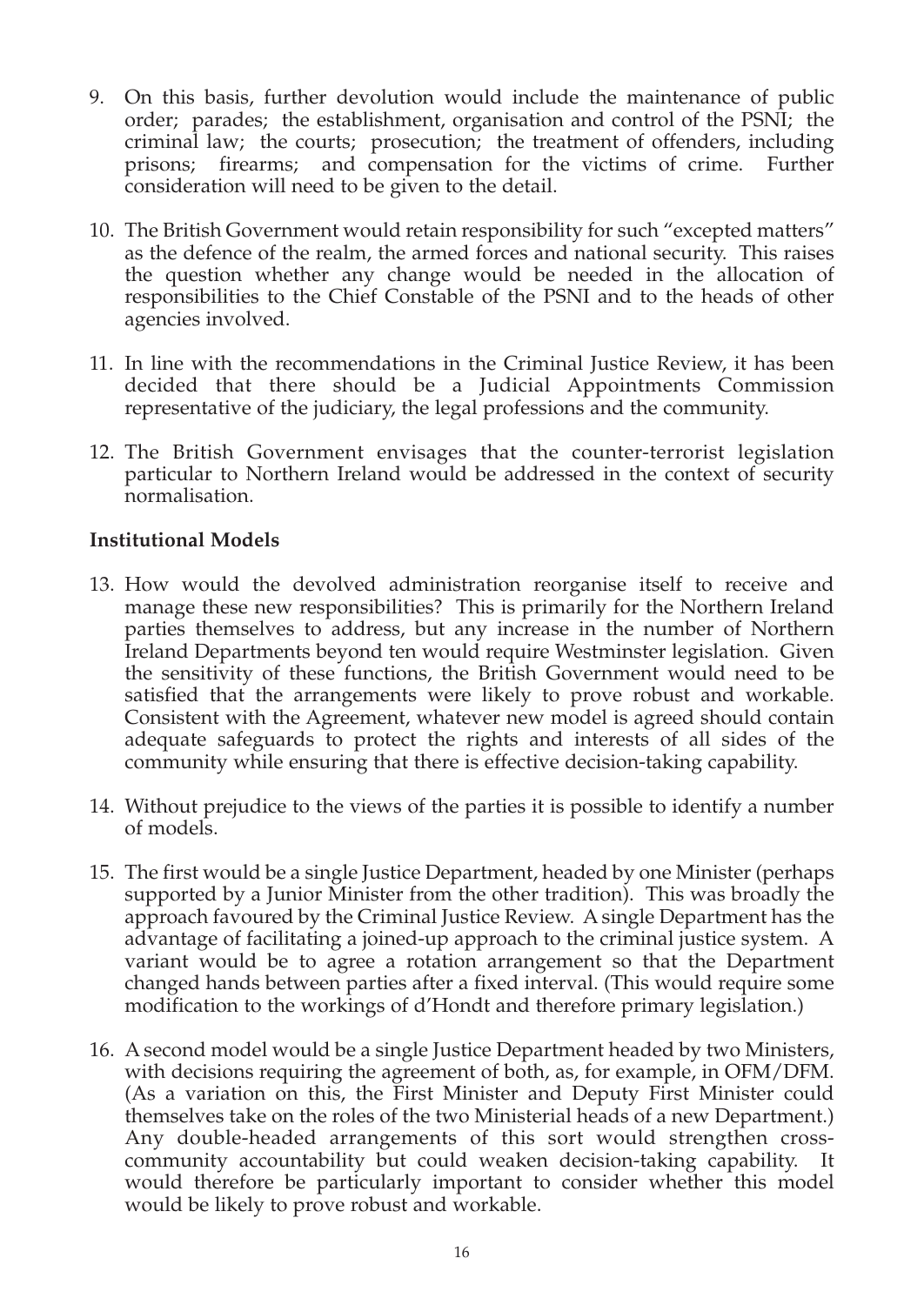- 9. On this basis, further devolution would include the maintenance of public order; parades; the establishment, organisation and control of the PSNI; the criminal law; the courts; prosecution; the treatment of offenders, including prisons; firearms; and compensation for the victims of crime. Further consideration will need to be given to the detail.
- 10. The British Government would retain responsibility for such "excepted matters" as the defence of the realm, the armed forces and national security. This raises the question whether any change would be needed in the allocation of responsibilities to the Chief Constable of the PSNI and to the heads of other agencies involved.
- 11. In line with the recommendations in the Criminal Justice Review, it has been decided that there should be a Judicial Appointments Commission representative of the judiciary, the legal professions and the community.
- 12. The British Government envisages that the counter-terrorist legislation particular to Northern Ireland would be addressed in the context of security normalisation.

#### **Institutional Models**

- 13. How would the devolved administration reorganise itself to receive and manage these new responsibilities? This is primarily for the Northern Ireland parties themselves to address, but any increase in the number of Northern Ireland Departments beyond ten would require Westminster legislation. Given the sensitivity of these functions, the British Government would need to be satisfied that the arrangements were likely to prove robust and workable. Consistent with the Agreement, whatever new model is agreed should contain adequate safeguards to protect the rights and interests of all sides of the community while ensuring that there is effective decision-taking capability.
- 14. Without prejudice to the views of the parties it is possible to identify a number of models.
- 15. The first would be a single Justice Department, headed by one Minister (perhaps supported by a Junior Minister from the other tradition). This was broadly the approach favoured by the Criminal Justice Review. A single Department has the advantage of facilitating a joined-up approach to the criminal justice system. A variant would be to agree a rotation arrangement so that the Department changed hands between parties after a fixed interval. (This would require some modification to the workings of d'Hondt and therefore primary legislation.)
- 16. A second model would be a single Justice Department headed by two Ministers, with decisions requiring the agreement of both, as, for example, in OFM/DFM. (As a variation on this, the First Minister and Deputy First Minister could themselves take on the roles of the two Ministerial heads of a new Department.) Any double-headed arrangements of this sort would strengthen crosscommunity accountability but could weaken decision-taking capability. It would therefore be particularly important to consider whether this model would be likely to prove robust and workable.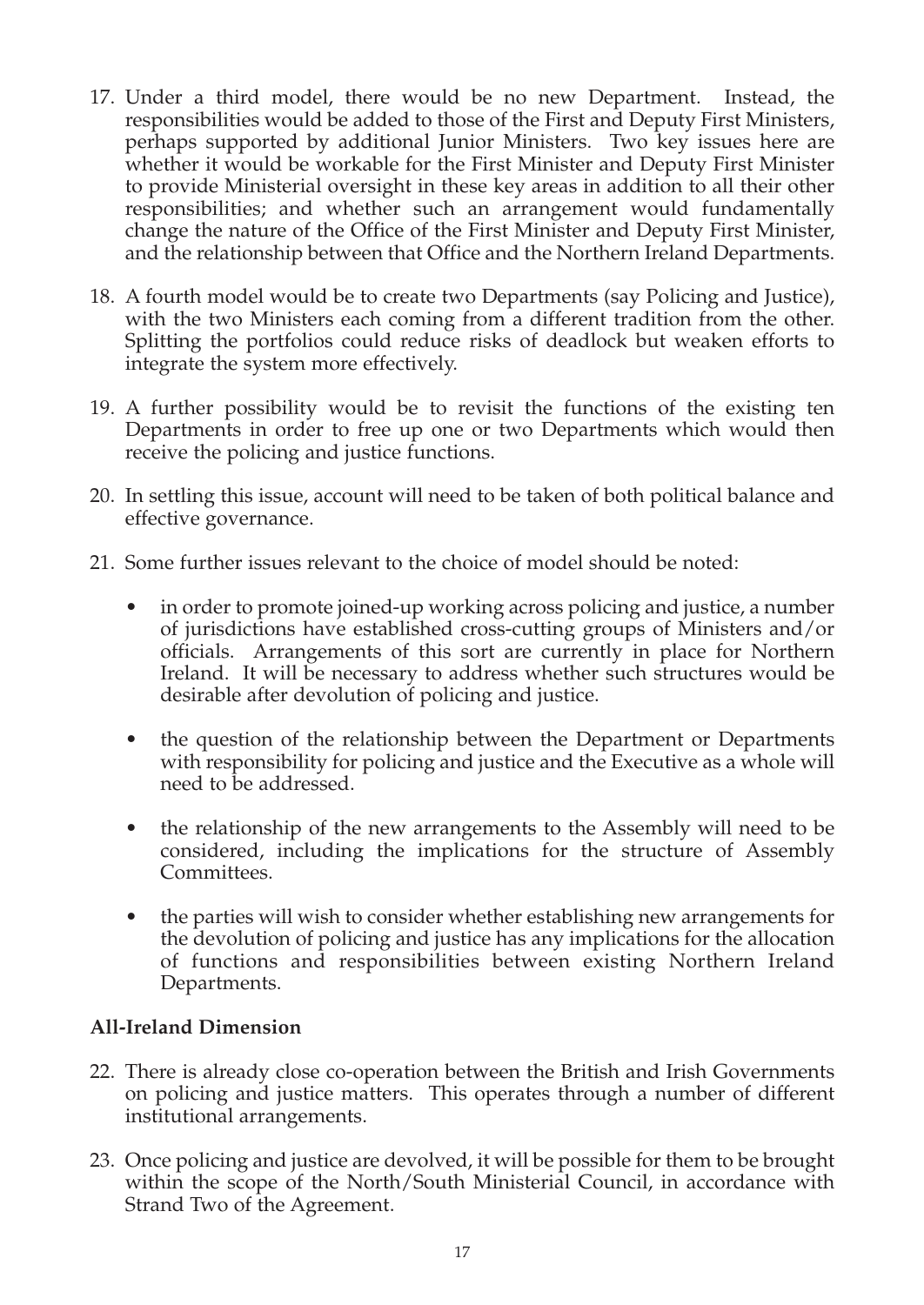- 17. Under a third model, there would be no new Department. Instead, the responsibilities would be added to those of the First and Deputy First Ministers, perhaps supported by additional Junior Ministers. Two key issues here are whether it would be workable for the First Minister and Deputy First Minister to provide Ministerial oversight in these key areas in addition to all their other responsibilities; and whether such an arrangement would fundamentally change the nature of the Office of the First Minister and Deputy First Minister, and the relationship between that Office and the Northern Ireland Departments.
- 18. A fourth model would be to create two Departments (say Policing and Justice), with the two Ministers each coming from a different tradition from the other. Splitting the portfolios could reduce risks of deadlock but weaken efforts to integrate the system more effectively.
- 19. A further possibility would be to revisit the functions of the existing ten Departments in order to free up one or two Departments which would then receive the policing and justice functions.
- 20. In settling this issue, account will need to be taken of both political balance and effective governance.
- 21. Some further issues relevant to the choice of model should be noted:
	- in order to promote joined-up working across policing and justice, a number of jurisdictions have established cross-cutting groups of Ministers and/or officials. Arrangements of this sort are currently in place for Northern Ireland. It will be necessary to address whether such structures would be desirable after devolution of policing and justice.
	- the question of the relationship between the Department or Departments with responsibility for policing and justice and the Executive as a whole will need to be addressed.
	- the relationship of the new arrangements to the Assembly will need to be considered, including the implications for the structure of Assembly Committees.
	- the parties will wish to consider whether establishing new arrangements for the devolution of policing and justice has any implications for the allocation of functions and responsibilities between existing Northern Ireland Departments.

#### **All-Ireland Dimension**

- 22. There is already close co-operation between the British and Irish Governments on policing and justice matters. This operates through a number of different institutional arrangements.
- 23. Once policing and justice are devolved, it will be possible for them to be brought within the scope of the North/South Ministerial Council, in accordance with Strand Two of the Agreement.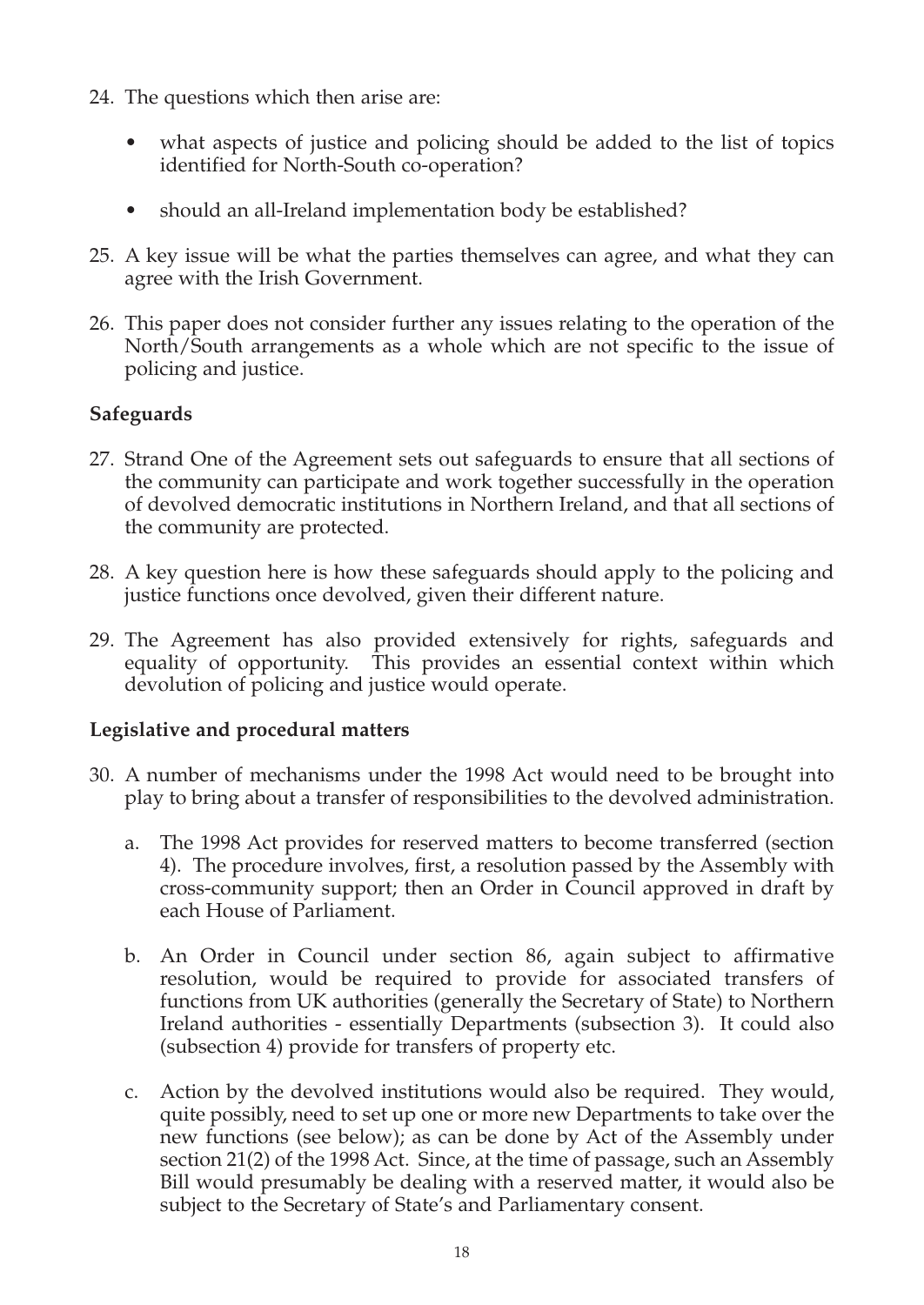- 24. The questions which then arise are:
	- what aspects of justice and policing should be added to the list of topics identified for North-South co-operation?
	- should an all-Ireland implementation body be established?
- 25. A key issue will be what the parties themselves can agree, and what they can agree with the Irish Government.
- 26. This paper does not consider further any issues relating to the operation of the North/South arrangements as a whole which are not specific to the issue of policing and justice.

#### **Safeguards**

- 27. Strand One of the Agreement sets out safeguards to ensure that all sections of the community can participate and work together successfully in the operation of devolved democratic institutions in Northern Ireland, and that all sections of the community are protected.
- 28. A key question here is how these safeguards should apply to the policing and justice functions once devolved, given their different nature.
- 29. The Agreement has also provided extensively for rights, safeguards and equality of opportunity. This provides an essential context within which devolution of policing and justice would operate.

#### **Legislative and procedural matters**

- 30. A number of mechanisms under the 1998 Act would need to be brought into play to bring about a transfer of responsibilities to the devolved administration.
	- a. The 1998 Act provides for reserved matters to become transferred (section 4). The procedure involves, first, a resolution passed by the Assembly with cross-community support; then an Order in Council approved in draft by each House of Parliament.
	- b. An Order in Council under section 86, again subject to affirmative resolution, would be required to provide for associated transfers of functions from UK authorities (generally the Secretary of State) to Northern Ireland authorities - essentially Departments (subsection 3). It could also (subsection 4) provide for transfers of property etc.
	- c. Action by the devolved institutions would also be required. They would, quite possibly, need to set up one or more new Departments to take over the new functions (see below); as can be done by Act of the Assembly under section 21(2) of the 1998 Act. Since, at the time of passage, such an Assembly Bill would presumably be dealing with a reserved matter, it would also be subject to the Secretary of State's and Parliamentary consent.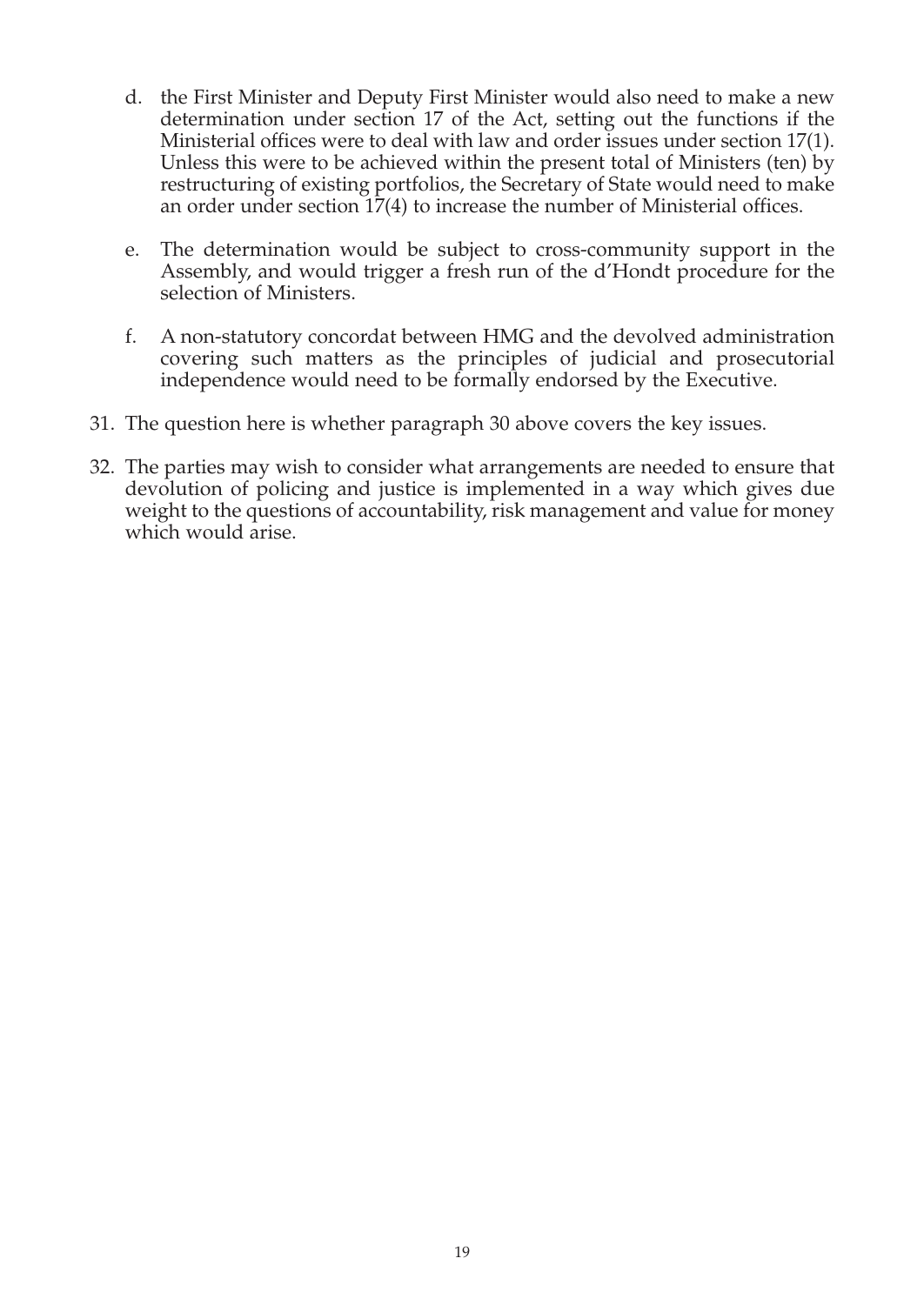- d. the First Minister and Deputy First Minister would also need to make a new determination under section 17 of the Act, setting out the functions if the Ministerial offices were to deal with law and order issues under section 17(1). Unless this were to be achieved within the present total of Ministers (ten) by restructuring of existing portfolios, the Secretary of State would need to make an order under section 17(4) to increase the number of Ministerial offices.
- e. The determination would be subject to cross-community support in the Assembly, and would trigger a fresh run of the d'Hondt procedure for the selection of Ministers.
- f. A non-statutory concordat between HMG and the devolved administration covering such matters as the principles of judicial and prosecutorial independence would need to be formally endorsed by the Executive.
- 31. The question here is whether paragraph 30 above covers the key issues.
- 32. The parties may wish to consider what arrangements are needed to ensure that devolution of policing and justice is implemented in a way which gives due weight to the questions of accountability, risk management and value for money which would arise.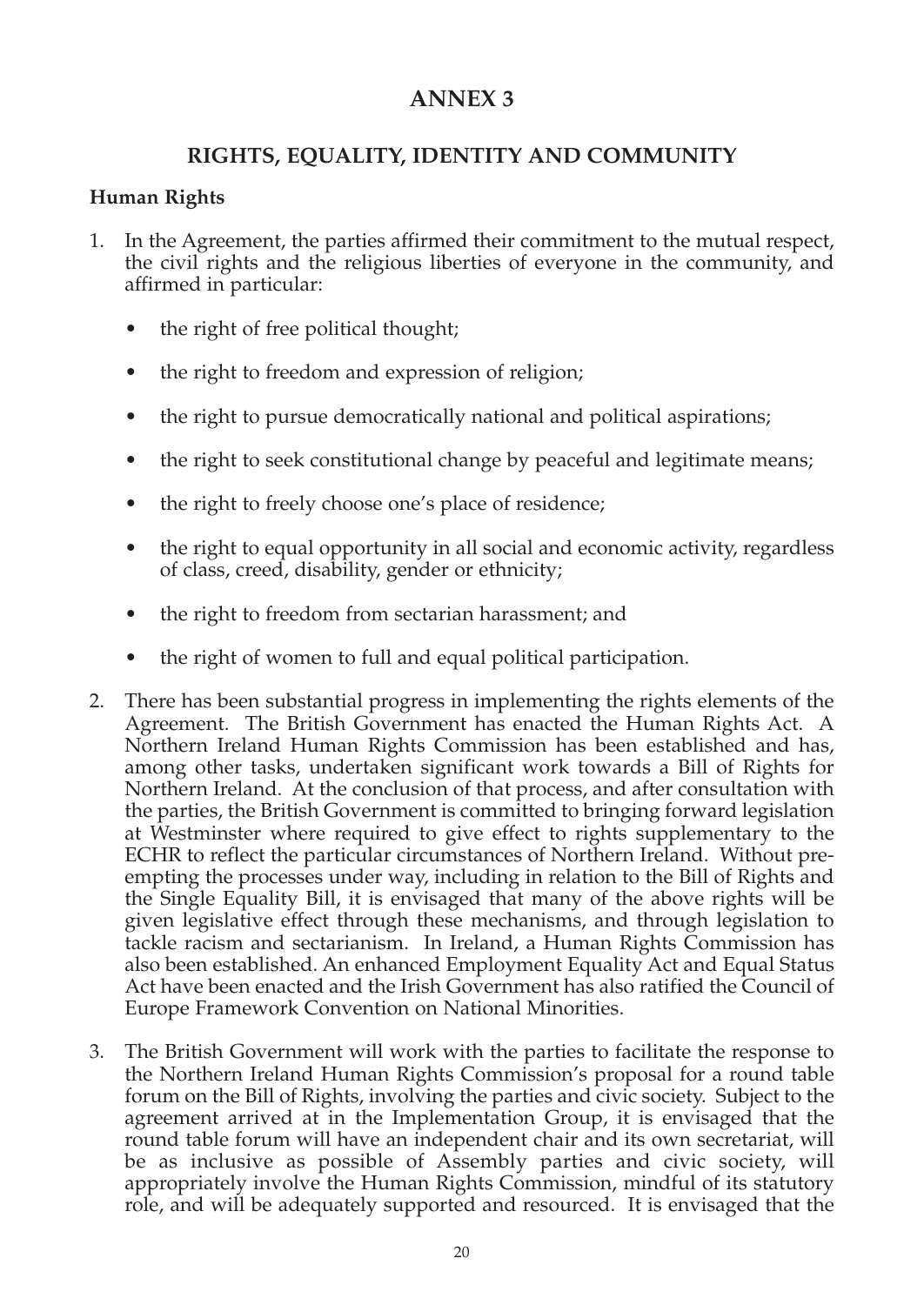# **ANNEX 3**

#### **RIGHTS, EQUALITY, IDENTITY AND COMMUNITY**

#### **Human Rights**

- 1. In the Agreement, the parties affirmed their commitment to the mutual respect, the civil rights and the religious liberties of everyone in the community, and affirmed in particular:
	- the right of free political thought;
	- the right to freedom and expression of religion;
	- the right to pursue democratically national and political aspirations;
	- the right to seek constitutional change by peaceful and legitimate means;
	- the right to freely choose one's place of residence;
	- the right to equal opportunity in all social and economic activity, regardless of class, creed, disability, gender or ethnicity;
	- the right to freedom from sectarian harassment; and
	- the right of women to full and equal political participation.
- 2. There has been substantial progress in implementing the rights elements of the Agreement. The British Government has enacted the Human Rights Act. A Northern Ireland Human Rights Commission has been established and has, among other tasks, undertaken significant work towards a Bill of Rights for Northern Ireland. At the conclusion of that process, and after consultation with the parties, the British Government is committed to bringing forward legislation at Westminster where required to give effect to rights supplementary to the ECHR to reflect the particular circumstances of Northern Ireland. Without preempting the processes under way, including in relation to the Bill of Rights and the Single Equality Bill, it is envisaged that many of the above rights will be given legislative effect through these mechanisms, and through legislation to tackle racism and sectarianism. In Ireland, a Human Rights Commission has also been established. An enhanced Employment Equality Act and Equal Status Act have been enacted and the Irish Government has also ratified the Council of Europe Framework Convention on National Minorities.
- 3. The British Government will work with the parties to facilitate the response to the Northern Ireland Human Rights Commission's proposal for a round table forum on the Bill of Rights, involving the parties and civic society. Subject to the agreement arrived at in the Implementation Group, it is envisaged that the round table forum will have an independent chair and its own secretariat, will be as inclusive as possible of Assembly parties and civic society, will appropriately involve the Human Rights Commission, mindful of its statutory role, and will be adequately supported and resourced. It is envisaged that the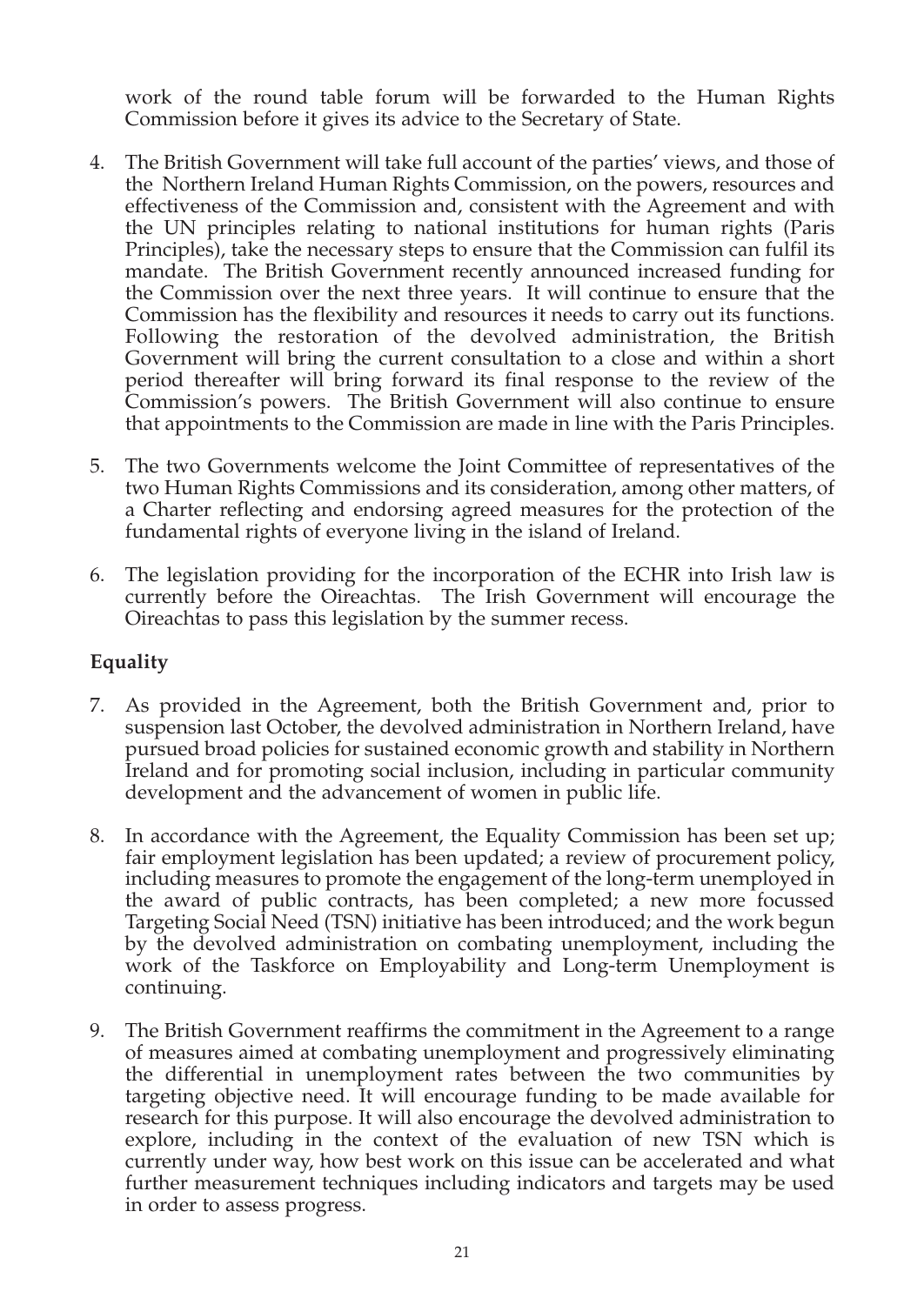work of the round table forum will be forwarded to the Human Rights Commission before it gives its advice to the Secretary of State.

- 4. The British Government will take full account of the parties' views, and those of the Northern Ireland Human Rights Commission, on the powers, resources and effectiveness of the Commission and, consistent with the Agreement and with the UN principles relating to national institutions for human rights (Paris Principles), take the necessary steps to ensure that the Commission can fulfil its mandate. The British Government recently announced increased funding for the Commission over the next three years. It will continue to ensure that the Commission has the flexibility and resources it needs to carry out its functions. Following the restoration of the devolved administration, the British Government will bring the current consultation to a close and within a short period thereafter will bring forward its final response to the review of the Commission's powers. The British Government will also continue to ensure that appointments to the Commission are made in line with the Paris Principles.
- 5. The two Governments welcome the Joint Committee of representatives of the two Human Rights Commissions and its consideration, among other matters, of a Charter reflecting and endorsing agreed measures for the protection of the fundamental rights of everyone living in the island of Ireland.
- 6. The legislation providing for the incorporation of the ECHR into Irish law is currently before the Oireachtas. The Irish Government will encourage the Oireachtas to pass this legislation by the summer recess.

#### **Equality**

- 7. As provided in the Agreement, both the British Government and, prior to suspension last October, the devolved administration in Northern Ireland, have pursued broad policies for sustained economic growth and stability in Northern Ireland and for promoting social inclusion, including in particular community development and the advancement of women in public life.
- 8. In accordance with the Agreement, the Equality Commission has been set up; fair employment legislation has been updated; a review of procurement policy, including measures to promote the engagement of the long-term unemployed in the award of public contracts, has been completed; a new more focussed Targeting Social Need (TSN) initiative has been introduced; and the work begun by the devolved administration on combating unemployment, including the work of the Taskforce on Employability and Long-term Unemployment is continuing.
- 9. The British Government reaffirms the commitment in the Agreement to a range of measures aimed at combating unemployment and progressively eliminating the differential in unemployment rates between the two communities by targeting objective need. It will encourage funding to be made available for research for this purpose. It will also encourage the devolved administration to explore, including in the context of the evaluation of new TSN which is currently under way, how best work on this issue can be accelerated and what further measurement techniques including indicators and targets may be used in order to assess progress.